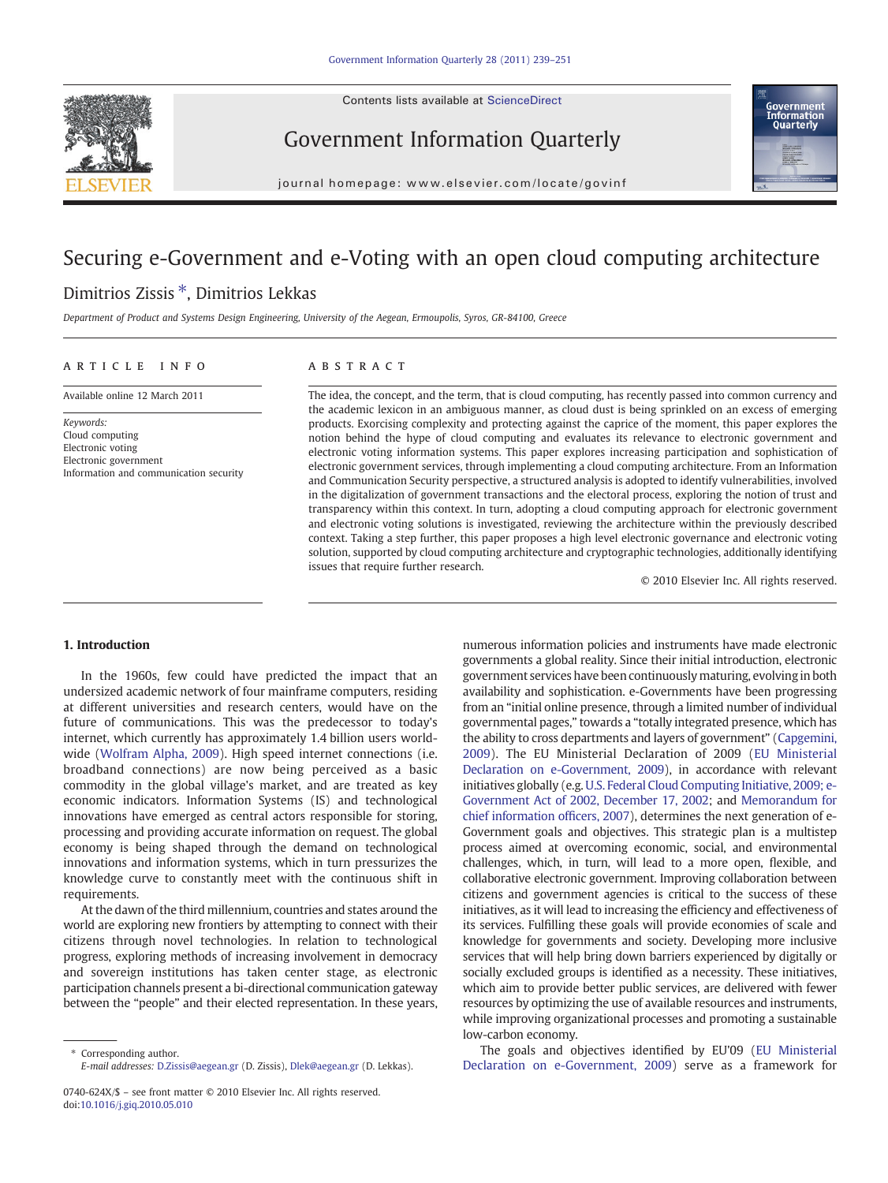Contents lists available at ScienceDirect



Government Information Quarterly



journal homepage: www.elsevier.com/locate/govinf

# Securing e-Government and e-Voting with an open cloud computing architecture

# Dimitrios Zissis ⁎, Dimitrios Lekkas

Department of Product and Systems Design Engineering, University of the Aegean, Ermoupolis, Syros, GR-84100, Greece

# article info abstract

Available online 12 March 2011

Keywords: Cloud computing Electronic voting Electronic government Information and communication security

The idea, the concept, and the term, that is cloud computing, has recently passed into common currency and the academic lexicon in an ambiguous manner, as cloud dust is being sprinkled on an excess of emerging products. Exorcising complexity and protecting against the caprice of the moment, this paper explores the notion behind the hype of cloud computing and evaluates its relevance to electronic government and electronic voting information systems. This paper explores increasing participation and sophistication of electronic government services, through implementing a cloud computing architecture. From an Information and Communication Security perspective, a structured analysis is adopted to identify vulnerabilities, involved in the digitalization of government transactions and the electoral process, exploring the notion of trust and transparency within this context. In turn, adopting a cloud computing approach for electronic government and electronic voting solutions is investigated, reviewing the architecture within the previously described context. Taking a step further, this paper proposes a high level electronic governance and electronic voting solution, supported by cloud computing architecture and cryptographic technologies, additionally identifying issues that require further research.

© 2010 Elsevier Inc. All rights reserved.

# 1. Introduction

In the 1960s, few could have predicted the impact that an undersized academic network of four mainframe computers, residing at different universities and research centers, would have on the future of communications. This was the predecessor to today's internet, which currently has approximately 1.4 billion users worldwide [\(Wolfram Alpha, 2009](#page-12-0)). High speed internet connections (i.e. broadband connections) are now being perceived as a basic commodity in the global village's market, and are treated as key economic indicators. Information Systems (IS) and technological innovations have emerged as central actors responsible for storing, processing and providing accurate information on request. The global economy is being shaped through the demand on technological innovations and information systems, which in turn pressurizes the knowledge curve to constantly meet with the continuous shift in requirements.

At the dawn of the third millennium, countries and states around the world are exploring new frontiers by attempting to connect with their citizens through novel technologies. In relation to technological progress, exploring methods of increasing involvement in democracy and sovereign institutions has taken center stage, as electronic participation channels present a bi-directional communication gateway between the "people" and their elected representation. In these years,

numerous information policies and instruments have made electronic governments a global reality. Since their initial introduction, electronic government services have been continuously maturing, evolving in both availability and sophistication. e-Governments have been progressing from an "initial online presence, through a limited number of individual governmental pages," towards a "totally integrated presence, which has the ability to cross departments and layers of government" ([Capgemini,](#page-11-0) [2009](#page-11-0)). The EU Ministerial Declaration of 2009 ([EU Ministerial](#page-11-0) [Declaration on e-Government, 2009\)](#page-11-0), in accordance with relevant initiatives globally (e.g. [U.S. Federal Cloud Computing Initiative, 2009; e-](#page-11-0)[Government Act of 2002, December 17, 2002](#page-11-0); and [Memorandum for](#page-11-0) [chief information of](#page-11-0)ficers, 2007), determines the next generation of e-Government goals and objectives. This strategic plan is a multistep process aimed at overcoming economic, social, and environmental challenges, which, in turn, will lead to a more open, flexible, and collaborative electronic government. Improving collaboration between citizens and government agencies is critical to the success of these initiatives, as it will lead to increasing the efficiency and effectiveness of its services. Fulfilling these goals will provide economies of scale and knowledge for governments and society. Developing more inclusive services that will help bring down barriers experienced by digitally or socially excluded groups is identified as a necessity. These initiatives, which aim to provide better public services, are delivered with fewer resources by optimizing the use of available resources and instruments, while improving organizational processes and promoting a sustainable low-carbon economy.

The goals and objectives identified by EU'09 [\(EU Ministerial](#page-11-0) [Declaration on e-Government, 2009\)](#page-11-0) serve as a framework for

<sup>⁎</sup> Corresponding author. E-mail addresses: [D.Zissis@aegean.gr](mailto:D.Zissis@aegean.gr) (D. Zissis), [Dlek@aegean.gr](mailto:Dlek@aegean.gr) (D. Lekkas).

<sup>0740-624</sup>X/\$ – see front matter © 2010 Elsevier Inc. All rights reserved. doi:[10.1016/j.giq.2010.05.010](http://dx.doi.org/10.1016/j.giq.2010.05.010)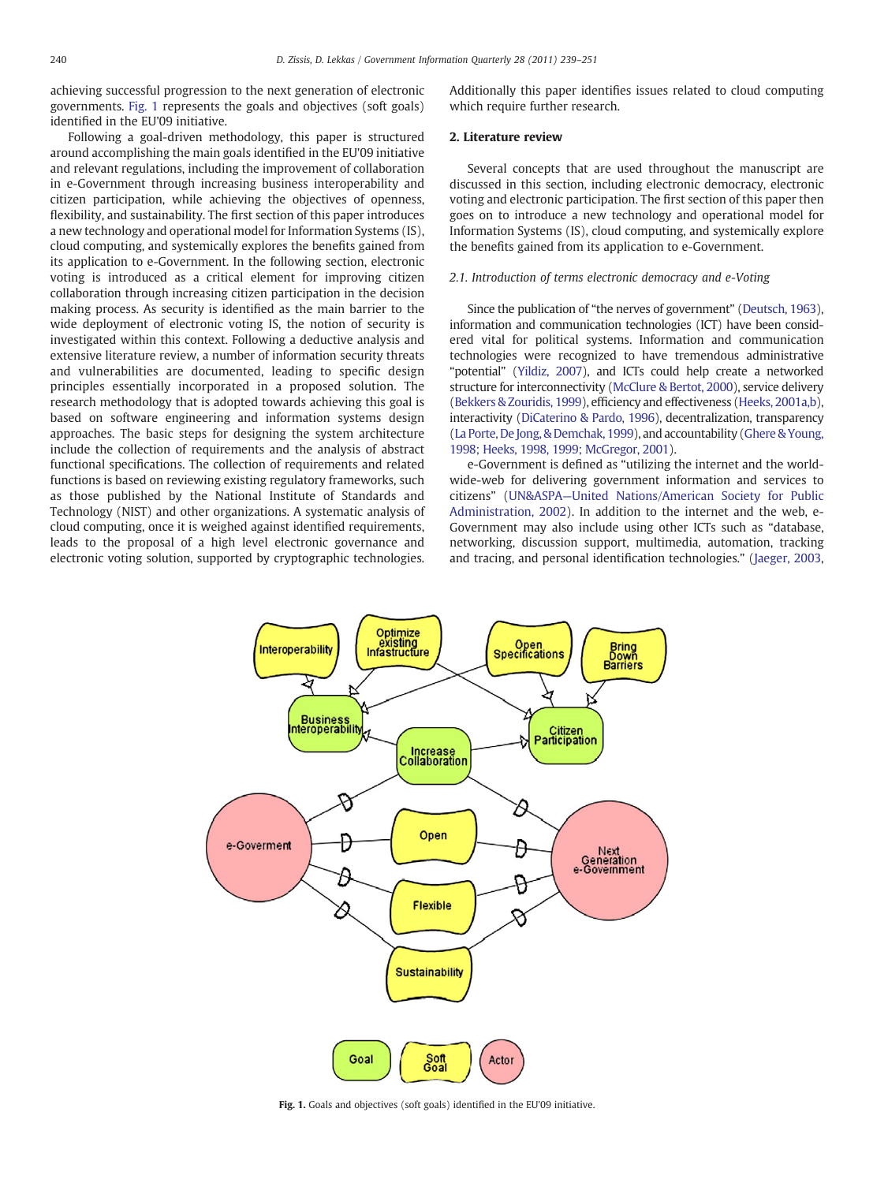achieving successful progression to the next generation of electronic governments. Fig. 1 represents the goals and objectives (soft goals) identified in the EU'09 initiative.

Following a goal-driven methodology, this paper is structured around accomplishing the main goals identified in the EU'09 initiative and relevant regulations, including the improvement of collaboration in e-Government through increasing business interoperability and citizen participation, while achieving the objectives of openness, flexibility, and sustainability. The first section of this paper introduces a new technology and operational model for Information Systems (IS), cloud computing, and systemically explores the benefits gained from its application to e-Government. In the following section, electronic voting is introduced as a critical element for improving citizen collaboration through increasing citizen participation in the decision making process. As security is identified as the main barrier to the wide deployment of electronic voting IS, the notion of security is investigated within this context. Following a deductive analysis and extensive literature review, a number of information security threats and vulnerabilities are documented, leading to specific design principles essentially incorporated in a proposed solution. The research methodology that is adopted towards achieving this goal is based on software engineering and information systems design approaches. The basic steps for designing the system architecture include the collection of requirements and the analysis of abstract functional specifications. The collection of requirements and related functions is based on reviewing existing regulatory frameworks, such as those published by the National Institute of Standards and Technology (NIST) and other organizations. A systematic analysis of cloud computing, once it is weighed against identified requirements, leads to the proposal of a high level electronic governance and electronic voting solution, supported by cryptographic technologies. Additionally this paper identifies issues related to cloud computing which require further research.

#### 2. Literature review

Several concepts that are used throughout the manuscript are discussed in this section, including electronic democracy, electronic voting and electronic participation. The first section of this paper then goes on to introduce a new technology and operational model for Information Systems (IS), cloud computing, and systemically explore the benefits gained from its application to e-Government.

#### 2.1. Introduction of terms electronic democracy and e-Voting

Since the publication of "the nerves of government" [\(Deutsch, 1963\)](#page-11-0), information and communication technologies (ICT) have been considered vital for political systems. Information and communication technologies were recognized to have tremendous administrative "potential" [\(Yildiz, 2007\)](#page-12-0), and ICTs could help create a networked structure for interconnectivity [\(McClure & Bertot, 2000\)](#page-11-0), service delivery [\(Bekkers & Zouridis, 1999](#page-11-0)), efficiency and effectiveness ([Heeks, 2001a,b\)](#page-11-0), interactivity ([DiCaterino & Pardo, 1996](#page-11-0)), decentralization, transparency [\(La Porte, De Jong, & Demchak, 1999\)](#page-11-0), and accountability [\(Ghere & Young,](#page-11-0) [1998; Heeks, 1998, 1999; McGregor, 2001\)](#page-11-0).

e-Government is defined as "utilizing the internet and the worldwide-web for delivering government information and services to citizens" (UN&ASPA—[United Nations/American Society for Public](#page-12-0) [Administration, 2002](#page-12-0)). In addition to the internet and the web, e-Government may also include using other ICTs such as "database, networking, discussion support, multimedia, automation, tracking and tracing, and personal identification technologies." ([Jaeger, 2003,](#page-11-0)



Fig. 1. Goals and objectives (soft goals) identified in the EU'09 initiative.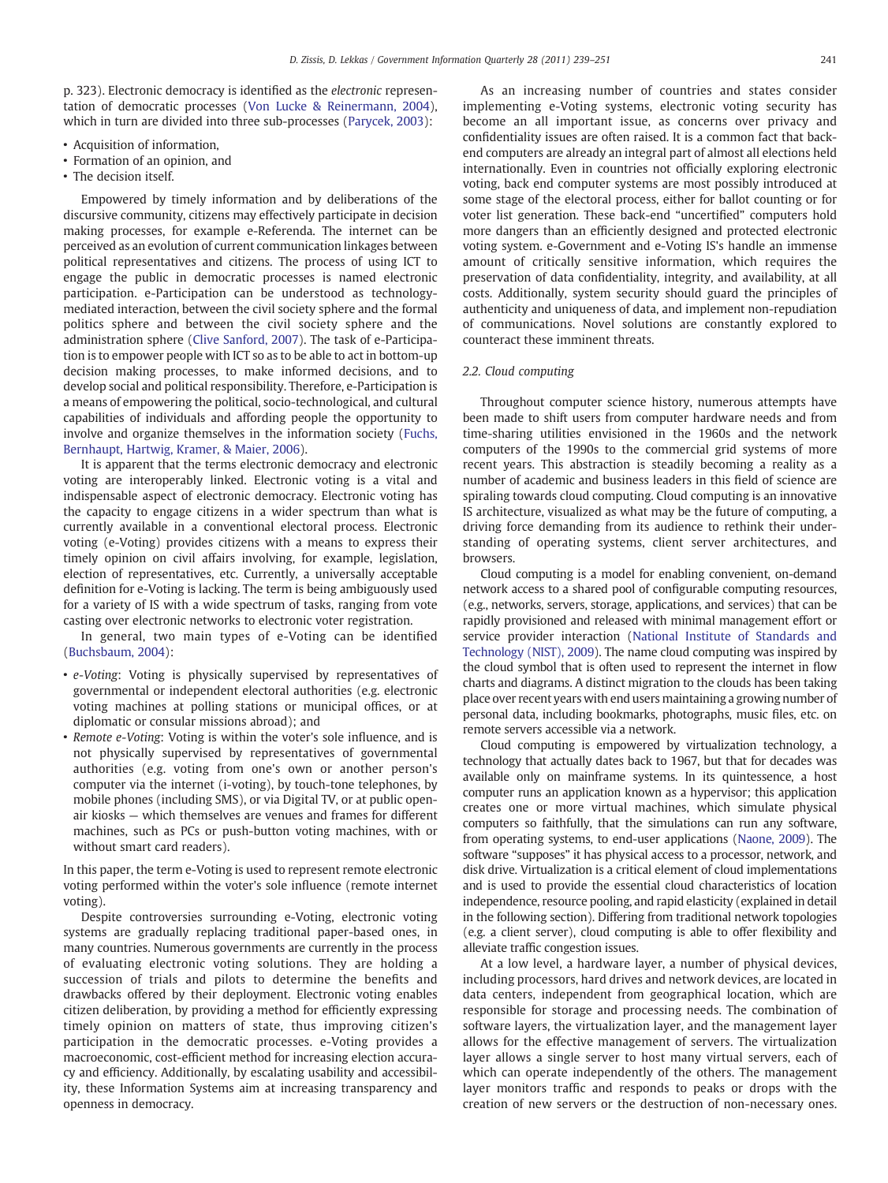p. 323). Electronic democracy is identified as the electronic representation of democratic processes [\(Von Lucke & Reinermann, 2004](#page-12-0)), which in turn are divided into three sub-processes ([Parycek, 2003](#page-11-0)):

- Acquisition of information,
- Formation of an opinion, and
- The decision itself.

Empowered by timely information and by deliberations of the discursive community, citizens may effectively participate in decision making processes, for example e-Referenda. The internet can be perceived as an evolution of current communication linkages between political representatives and citizens. The process of using ICT to engage the public in democratic processes is named electronic participation. e-Participation can be understood as technologymediated interaction, between the civil society sphere and the formal politics sphere and between the civil society sphere and the administration sphere [\(Clive Sanford, 2007](#page-11-0)). The task of e-Participation is to empower people with ICT so as to be able to act in bottom-up decision making processes, to make informed decisions, and to develop social and political responsibility. Therefore, e-Participation is a means of empowering the political, socio-technological, and cultural capabilities of individuals and affording people the opportunity to involve and organize themselves in the information society [\(Fuchs,](#page-11-0) [Bernhaupt, Hartwig, Kramer, & Maier, 2006](#page-11-0)).

It is apparent that the terms electronic democracy and electronic voting are interoperably linked. Electronic voting is a vital and indispensable aspect of electronic democracy. Electronic voting has the capacity to engage citizens in a wider spectrum than what is currently available in a conventional electoral process. Electronic voting (e-Voting) provides citizens with a means to express their timely opinion on civil affairs involving, for example, legislation, election of representatives, etc. Currently, a universally acceptable definition for e-Voting is lacking. The term is being ambiguously used for a variety of IS with a wide spectrum of tasks, ranging from vote casting over electronic networks to electronic voter registration.

In general, two main types of e-Voting can be identified [\(Buchsbaum, 2004\)](#page-11-0):

- e-Voting: Voting is physically supervised by representatives of governmental or independent electoral authorities (e.g. electronic voting machines at polling stations or municipal offices, or at diplomatic or consular missions abroad); and
- Remote e-Voting: Voting is within the voter's sole influence, and is not physically supervised by representatives of governmental authorities (e.g. voting from one's own or another person's computer via the internet (i-voting), by touch-tone telephones, by mobile phones (including SMS), or via Digital TV, or at public openair kiosks — which themselves are venues and frames for different machines, such as PCs or push-button voting machines, with or without smart card readers).

In this paper, the term e-Voting is used to represent remote electronic voting performed within the voter's sole influence (remote internet voting).

Despite controversies surrounding e-Voting, electronic voting systems are gradually replacing traditional paper-based ones, in many countries. Numerous governments are currently in the process of evaluating electronic voting solutions. They are holding a succession of trials and pilots to determine the benefits and drawbacks offered by their deployment. Electronic voting enables citizen deliberation, by providing a method for efficiently expressing timely opinion on matters of state, thus improving citizen's participation in the democratic processes. e-Voting provides a macroeconomic, cost-efficient method for increasing election accuracy and efficiency. Additionally, by escalating usability and accessibility, these Information Systems aim at increasing transparency and openness in democracy.

As an increasing number of countries and states consider implementing e-Voting systems, electronic voting security has become an all important issue, as concerns over privacy and confidentiality issues are often raised. It is a common fact that backend computers are already an integral part of almost all elections held internationally. Even in countries not officially exploring electronic voting, back end computer systems are most possibly introduced at some stage of the electoral process, either for ballot counting or for voter list generation. These back-end "uncertified" computers hold more dangers than an efficiently designed and protected electronic voting system. e-Government and e-Voting IS's handle an immense amount of critically sensitive information, which requires the preservation of data confidentiality, integrity, and availability, at all costs. Additionally, system security should guard the principles of authenticity and uniqueness of data, and implement non-repudiation of communications. Novel solutions are constantly explored to counteract these imminent threats.

#### 2.2. Cloud computing

Throughout computer science history, numerous attempts have been made to shift users from computer hardware needs and from time-sharing utilities envisioned in the 1960s and the network computers of the 1990s to the commercial grid systems of more recent years. This abstraction is steadily becoming a reality as a number of academic and business leaders in this field of science are spiraling towards cloud computing. Cloud computing is an innovative IS architecture, visualized as what may be the future of computing, a driving force demanding from its audience to rethink their understanding of operating systems, client server architectures, and browsers.

Cloud computing is a model for enabling convenient, on-demand network access to a shared pool of configurable computing resources, (e.g., networks, servers, storage, applications, and services) that can be rapidly provisioned and released with minimal management effort or service provider interaction [\(National Institute of Standards and](#page-11-0) [Technology \(NIST\), 2009](#page-11-0)). The name cloud computing was inspired by the cloud symbol that is often used to represent the internet in flow charts and diagrams. A distinct migration to the clouds has been taking place over recent years with end users maintaining a growing number of personal data, including bookmarks, photographs, music files, etc. on remote servers accessible via a network.

Cloud computing is empowered by virtualization technology, a technology that actually dates back to 1967, but that for decades was available only on mainframe systems. In its quintessence, a host computer runs an application known as a hypervisor; this application creates one or more virtual machines, which simulate physical computers so faithfully, that the simulations can run any software, from operating systems, to end-user applications [\(Naone, 2009](#page-11-0)). The software "supposes" it has physical access to a processor, network, and disk drive. Virtualization is a critical element of cloud implementations and is used to provide the essential cloud characteristics of location independence, resource pooling, and rapid elasticity (explained in detail in the following section). Differing from traditional network topologies (e.g. a client server), cloud computing is able to offer flexibility and alleviate traffic congestion issues.

At a low level, a hardware layer, a number of physical devices, including processors, hard drives and network devices, are located in data centers, independent from geographical location, which are responsible for storage and processing needs. The combination of software layers, the virtualization layer, and the management layer allows for the effective management of servers. The virtualization layer allows a single server to host many virtual servers, each of which can operate independently of the others. The management layer monitors traffic and responds to peaks or drops with the creation of new servers or the destruction of non-necessary ones.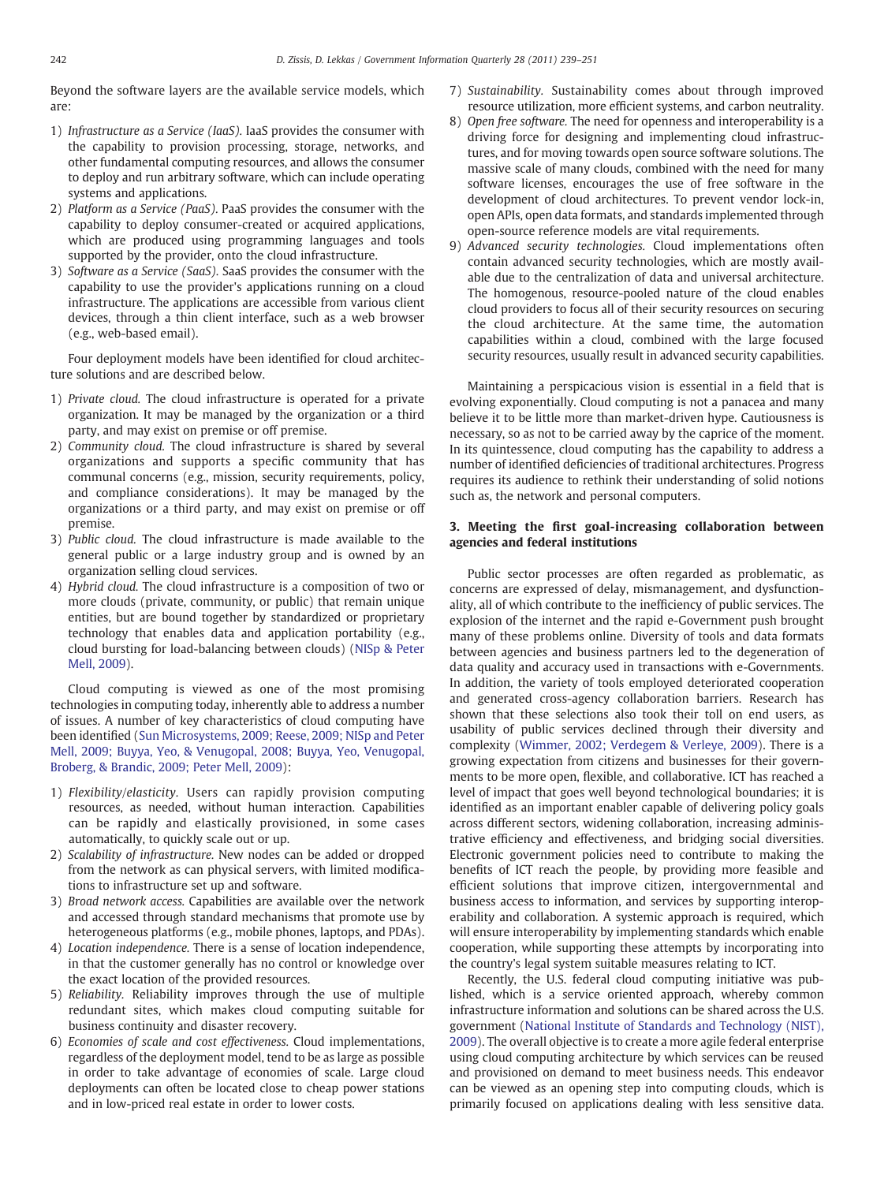Beyond the software layers are the available service models, which are:

- 1) Infrastructure as a Service (IaaS). IaaS provides the consumer with the capability to provision processing, storage, networks, and other fundamental computing resources, and allows the consumer to deploy and run arbitrary software, which can include operating systems and applications.
- 2) Platform as a Service (PaaS). PaaS provides the consumer with the capability to deploy consumer-created or acquired applications, which are produced using programming languages and tools supported by the provider, onto the cloud infrastructure.
- 3) Software as a Service (SaaS). SaaS provides the consumer with the capability to use the provider's applications running on a cloud infrastructure. The applications are accessible from various client devices, through a thin client interface, such as a web browser (e.g., web-based email).

Four deployment models have been identified for cloud architecture solutions and are described below.

- 1) Private cloud. The cloud infrastructure is operated for a private organization. It may be managed by the organization or a third party, and may exist on premise or off premise.
- 2) Community cloud. The cloud infrastructure is shared by several organizations and supports a specific community that has communal concerns (e.g., mission, security requirements, policy, and compliance considerations). It may be managed by the organizations or a third party, and may exist on premise or off premise.
- 3) Public cloud. The cloud infrastructure is made available to the general public or a large industry group and is owned by an organization selling cloud services.
- 4) Hybrid cloud. The cloud infrastructure is a composition of two or more clouds (private, community, or public) that remain unique entities, but are bound together by standardized or proprietary technology that enables data and application portability (e.g., cloud bursting for load-balancing between clouds) [\(NISp & Peter](#page-11-0) [Mell, 2009](#page-11-0)).

Cloud computing is viewed as one of the most promising technologies in computing today, inherently able to address a number of issues. A number of key characteristics of cloud computing have been identified [\(Sun Microsystems, 2009; Reese, 2009; NISp and Peter](#page-11-0) [Mell, 2009; Buyya, Yeo, & Venugopal, 2008; Buyya, Yeo, Venugopal,](#page-11-0) [Broberg, & Brandic, 2009; Peter Mell, 2009](#page-11-0)):

- 1) Flexibility/elasticity. Users can rapidly provision computing resources, as needed, without human interaction. Capabilities can be rapidly and elastically provisioned, in some cases automatically, to quickly scale out or up.
- 2) Scalability of infrastructure. New nodes can be added or dropped from the network as can physical servers, with limited modifications to infrastructure set up and software.
- 3) Broad network access. Capabilities are available over the network and accessed through standard mechanisms that promote use by heterogeneous platforms (e.g., mobile phones, laptops, and PDAs).
- 4) Location independence. There is a sense of location independence, in that the customer generally has no control or knowledge over the exact location of the provided resources.
- 5) Reliability. Reliability improves through the use of multiple redundant sites, which makes cloud computing suitable for business continuity and disaster recovery.
- 6) Economies of scale and cost effectiveness. Cloud implementations, regardless of the deployment model, tend to be as large as possible in order to take advantage of economies of scale. Large cloud deployments can often be located close to cheap power stations and in low-priced real estate in order to lower costs.
- 7) Sustainability. Sustainability comes about through improved resource utilization, more efficient systems, and carbon neutrality.
- 8) Open free software. The need for openness and interoperability is a driving force for designing and implementing cloud infrastructures, and for moving towards open source software solutions. The massive scale of many clouds, combined with the need for many software licenses, encourages the use of free software in the development of cloud architectures. To prevent vendor lock-in, open APIs, open data formats, and standards implemented through open-source reference models are vital requirements.
- 9) Advanced security technologies. Cloud implementations often contain advanced security technologies, which are mostly available due to the centralization of data and universal architecture. The homogenous, resource-pooled nature of the cloud enables cloud providers to focus all of their security resources on securing the cloud architecture. At the same time, the automation capabilities within a cloud, combined with the large focused security resources, usually result in advanced security capabilities.

Maintaining a perspicacious vision is essential in a field that is evolving exponentially. Cloud computing is not a panacea and many believe it to be little more than market-driven hype. Cautiousness is necessary, so as not to be carried away by the caprice of the moment. In its quintessence, cloud computing has the capability to address a number of identified deficiencies of traditional architectures. Progress requires its audience to rethink their understanding of solid notions such as, the network and personal computers.

# 3. Meeting the first goal-increasing collaboration between agencies and federal institutions

Public sector processes are often regarded as problematic, as concerns are expressed of delay, mismanagement, and dysfunctionality, all of which contribute to the inefficiency of public services. The explosion of the internet and the rapid e-Government push brought many of these problems online. Diversity of tools and data formats between agencies and business partners led to the degeneration of data quality and accuracy used in transactions with e-Governments. In addition, the variety of tools employed deteriorated cooperation and generated cross-agency collaboration barriers. Research has shown that these selections also took their toll on end users, as usability of public services declined through their diversity and complexity ([Wimmer, 2002; Verdegem & Verleye, 2009](#page-12-0)). There is a growing expectation from citizens and businesses for their governments to be more open, flexible, and collaborative. ICT has reached a level of impact that goes well beyond technological boundaries; it is identified as an important enabler capable of delivering policy goals across different sectors, widening collaboration, increasing administrative efficiency and effectiveness, and bridging social diversities. Electronic government policies need to contribute to making the benefits of ICT reach the people, by providing more feasible and efficient solutions that improve citizen, intergovernmental and business access to information, and services by supporting interoperability and collaboration. A systemic approach is required, which will ensure interoperability by implementing standards which enable cooperation, while supporting these attempts by incorporating into the country's legal system suitable measures relating to ICT.

Recently, the U.S. federal cloud computing initiative was published, which is a service oriented approach, whereby common infrastructure information and solutions can be shared across the U.S. government [\(National Institute of Standards and Technology \(NIST\),](#page-11-0) [2009\)](#page-11-0). The overall objective is to create a more agile federal enterprise using cloud computing architecture by which services can be reused and provisioned on demand to meet business needs. This endeavor can be viewed as an opening step into computing clouds, which is primarily focused on applications dealing with less sensitive data.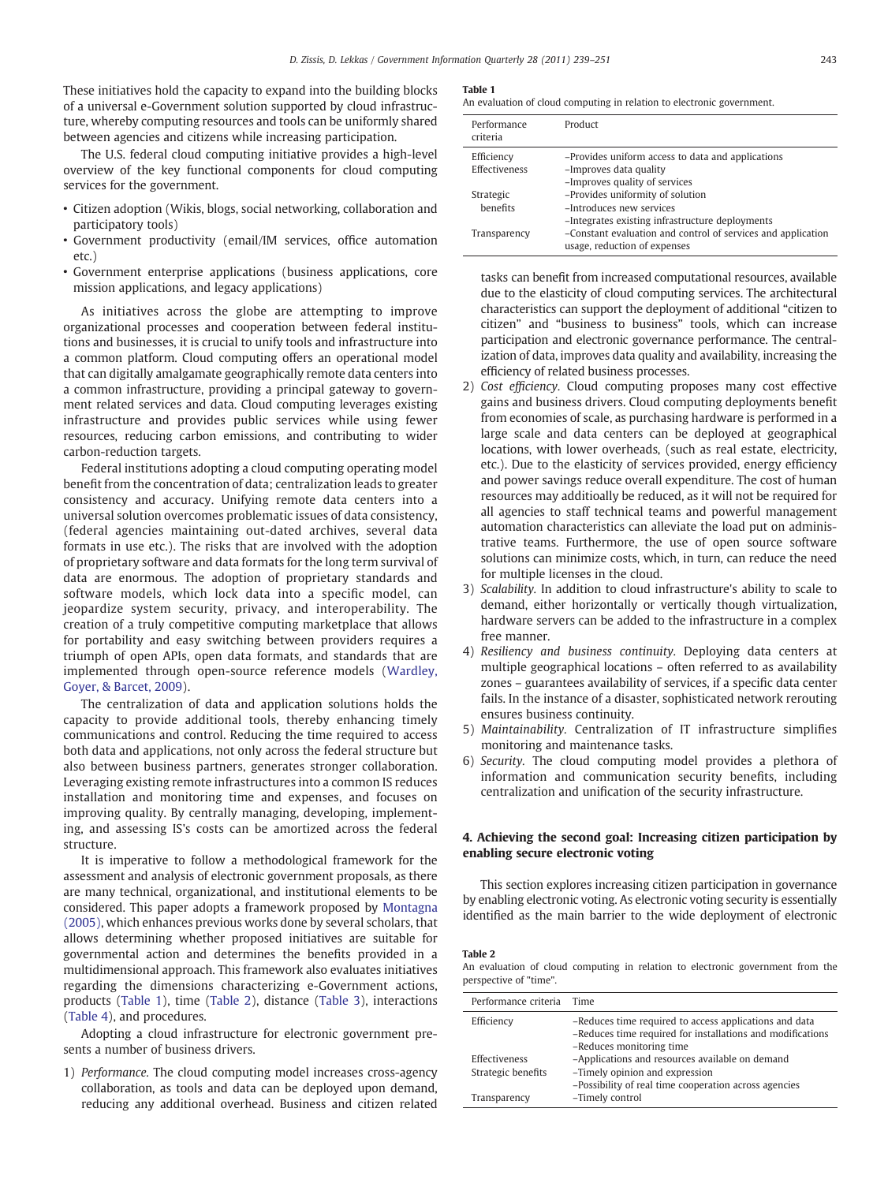These initiatives hold the capacity to expand into the building blocks of a universal e-Government solution supported by cloud infrastructure, whereby computing resources and tools can be uniformly shared between agencies and citizens while increasing participation.

The U.S. federal cloud computing initiative provides a high-level overview of the key functional components for cloud computing services for the government.

- Citizen adoption (Wikis, blogs, social networking, collaboration and participatory tools)
- Government productivity (email/IM services, office automation etc.)
- Government enterprise applications (business applications, core mission applications, and legacy applications)

As initiatives across the globe are attempting to improve organizational processes and cooperation between federal institutions and businesses, it is crucial to unify tools and infrastructure into a common platform. Cloud computing offers an operational model that can digitally amalgamate geographically remote data centers into a common infrastructure, providing a principal gateway to government related services and data. Cloud computing leverages existing infrastructure and provides public services while using fewer resources, reducing carbon emissions, and contributing to wider carbon-reduction targets.

Federal institutions adopting a cloud computing operating model benefit from the concentration of data; centralization leads to greater consistency and accuracy. Unifying remote data centers into a universal solution overcomes problematic issues of data consistency, (federal agencies maintaining out-dated archives, several data formats in use etc.). The risks that are involved with the adoption of proprietary software and data formats for the long term survival of data are enormous. The adoption of proprietary standards and software models, which lock data into a specific model, can jeopardize system security, privacy, and interoperability. The creation of a truly competitive computing marketplace that allows for portability and easy switching between providers requires a triumph of open APIs, open data formats, and standards that are implemented through open-source reference models ([Wardley,](#page-12-0) [Goyer, & Barcet, 2009](#page-12-0)).

The centralization of data and application solutions holds the capacity to provide additional tools, thereby enhancing timely communications and control. Reducing the time required to access both data and applications, not only across the federal structure but also between business partners, generates stronger collaboration. Leveraging existing remote infrastructures into a common IS reduces installation and monitoring time and expenses, and focuses on improving quality. By centrally managing, developing, implementing, and assessing IS's costs can be amortized across the federal structure.

It is imperative to follow a methodological framework for the assessment and analysis of electronic government proposals, as there are many technical, organizational, and institutional elements to be considered. This paper adopts a framework proposed by [Montagna](#page-11-0) [\(2005\),](#page-11-0) which enhances previous works done by several scholars, that allows determining whether proposed initiatives are suitable for governmental action and determines the benefits provided in a multidimensional approach. This framework also evaluates initiatives regarding the dimensions characterizing e-Government actions, products (Table 1), time (Table 2), distance [\(Table 3\)](#page-5-0), interactions [\(Table 4](#page-5-0)), and procedures.

Adopting a cloud infrastructure for electronic government presents a number of business drivers.

1) Performance. The cloud computing model increases cross-agency collaboration, as tools and data can be deployed upon demand, reducing any additional overhead. Business and citizen related

Table 1

An evaluation of cloud computing in relation to electronic government.

| Performance<br>criteria | Product                                                                                      |
|-------------------------|----------------------------------------------------------------------------------------------|
| Efficiency              | -Provides uniform access to data and applications                                            |
| Effectiveness           | -Improves data quality                                                                       |
|                         | -Improves quality of services                                                                |
| Strategic               | -Provides uniformity of solution                                                             |
| henefits                | -Introduces new services                                                                     |
|                         | -Integrates existing infrastructure deployments                                              |
| Transparency            | -Constant evaluation and control of services and application<br>usage, reduction of expenses |

tasks can benefit from increased computational resources, available due to the elasticity of cloud computing services. The architectural characteristics can support the deployment of additional "citizen to citizen" and "business to business" tools, which can increase participation and electronic governance performance. The centralization of data, improves data quality and availability, increasing the efficiency of related business processes.

- 2) Cost efficiency. Cloud computing proposes many cost effective gains and business drivers. Cloud computing deployments benefit from economies of scale, as purchasing hardware is performed in a large scale and data centers can be deployed at geographical locations, with lower overheads, (such as real estate, electricity, etc.). Due to the elasticity of services provided, energy efficiency and power savings reduce overall expenditure. The cost of human resources may additioally be reduced, as it will not be required for all agencies to staff technical teams and powerful management automation characteristics can alleviate the load put on administrative teams. Furthermore, the use of open source software solutions can minimize costs, which, in turn, can reduce the need for multiple licenses in the cloud.
- 3) Scalability. In addition to cloud infrastructure's ability to scale to demand, either horizontally or vertically though virtualization, hardware servers can be added to the infrastructure in a complex free manner.
- 4) Resiliency and business continuity. Deploying data centers at multiple geographical locations – often referred to as availability zones – guarantees availability of services, if a specific data center fails. In the instance of a disaster, sophisticated network rerouting ensures business continuity.
- 5) Maintainability. Centralization of IT infrastructure simplifies monitoring and maintenance tasks.
- 6) Security. The cloud computing model provides a plethora of information and communication security benefits, including centralization and unification of the security infrastructure.

## 4. Achieving the second goal: Increasing citizen participation by enabling secure electronic voting

This section explores increasing citizen participation in governance by enabling electronic voting. As electronic voting security is essentially identified as the main barrier to the wide deployment of electronic

## Table 2

An evaluation of cloud computing in relation to electronic government from the perspective of "time".

| Performance criteria Time           |                                                                                                                                                  |
|-------------------------------------|--------------------------------------------------------------------------------------------------------------------------------------------------|
| Efficiency                          | -Reduces time required to access applications and data<br>-Reduces time required for installations and modifications<br>-Reduces monitoring time |
| Effectiveness<br>Strategic benefits | -Applications and resources available on demand<br>-Timely opinion and expression                                                                |
| Transparency                        | -Possibility of real time cooperation across agencies<br>-Timely control                                                                         |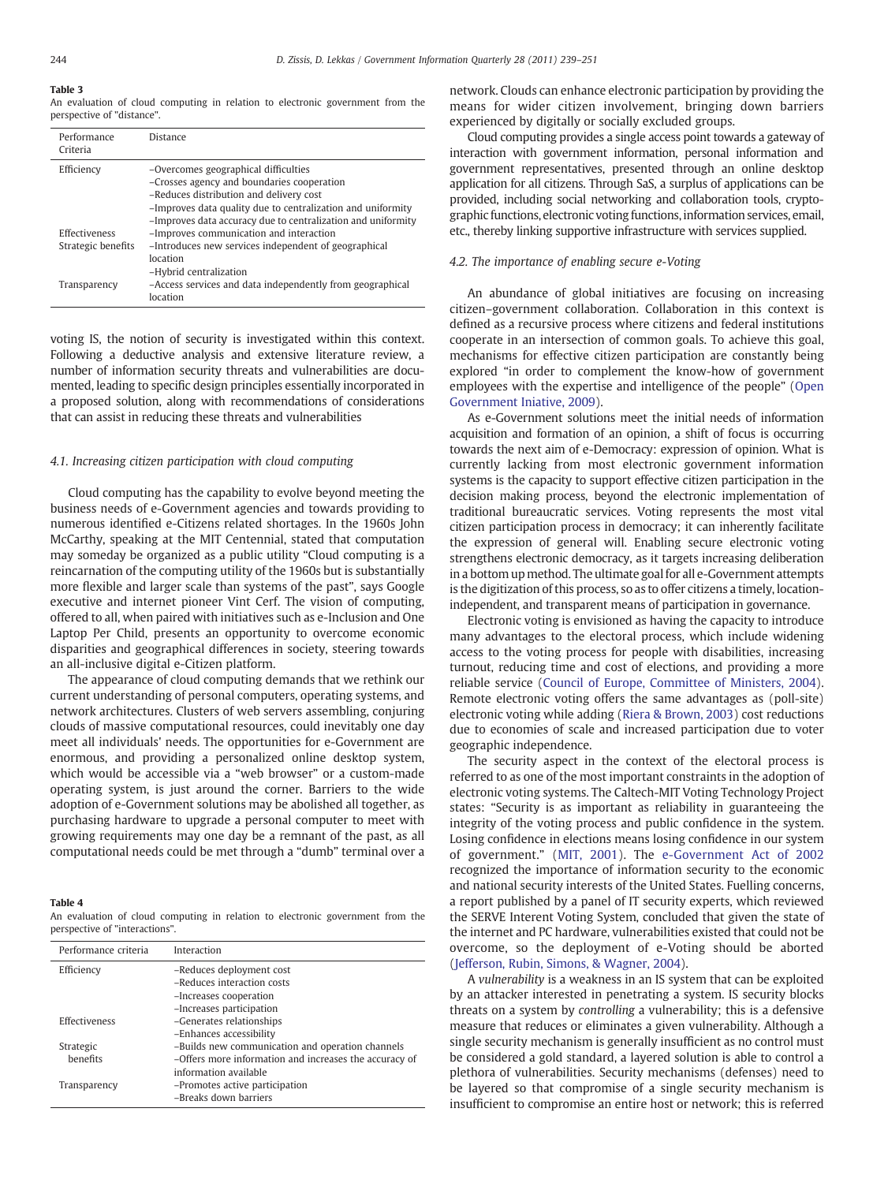# <span id="page-5-0"></span>Table 3

An evaluation of cloud computing in relation to electronic government from the perspective of "distance".

| Performance<br>Criteria | Distance                                                                                                                                                                                                                                                     |
|-------------------------|--------------------------------------------------------------------------------------------------------------------------------------------------------------------------------------------------------------------------------------------------------------|
| Efficiency              | -Overcomes geographical difficulties<br>-Crosses agency and boundaries cooperation<br>-Reduces distribution and delivery cost<br>-Improves data quality due to centralization and uniformity<br>-Improves data accuracy due to centralization and uniformity |
| <b>Effectiveness</b>    | -Improves communication and interaction                                                                                                                                                                                                                      |
| Strategic benefits      | -Introduces new services independent of geographical<br>location<br>-Hybrid centralization                                                                                                                                                                   |
| Transparency            | -Access services and data independently from geographical<br>location                                                                                                                                                                                        |

voting IS, the notion of security is investigated within this context. Following a deductive analysis and extensive literature review, a number of information security threats and vulnerabilities are documented, leading to specific design principles essentially incorporated in a proposed solution, along with recommendations of considerations that can assist in reducing these threats and vulnerabilities

#### 4.1. Increasing citizen participation with cloud computing

Cloud computing has the capability to evolve beyond meeting the business needs of e-Government agencies and towards providing to numerous identified e-Citizens related shortages. In the 1960s John McCarthy, speaking at the MIT Centennial, stated that computation may someday be organized as a public utility "Cloud computing is a reincarnation of the computing utility of the 1960s but is substantially more flexible and larger scale than systems of the past", says Google executive and internet pioneer Vint Cerf. The vision of computing, offered to all, when paired with initiatives such as e-Inclusion and One Laptop Per Child, presents an opportunity to overcome economic disparities and geographical differences in society, steering towards an all-inclusive digital e-Citizen platform.

The appearance of cloud computing demands that we rethink our current understanding of personal computers, operating systems, and network architectures. Clusters of web servers assembling, conjuring clouds of massive computational resources, could inevitably one day meet all individuals' needs. The opportunities for e-Government are enormous, and providing a personalized online desktop system, which would be accessible via a "web browser" or a custom-made operating system, is just around the corner. Barriers to the wide adoption of e-Government solutions may be abolished all together, as purchasing hardware to upgrade a personal computer to meet with growing requirements may one day be a remnant of the past, as all computational needs could be met through a "dumb" terminal over a

#### Table 4

An evaluation of cloud computing in relation to electronic government from the perspective of "interactions".

| Performance criteria | Interaction                                            |
|----------------------|--------------------------------------------------------|
| Efficiency           | -Reduces deployment cost                               |
|                      | -Reduces interaction costs                             |
|                      | -Increases cooperation                                 |
|                      | -Increases participation                               |
| <b>Effectiveness</b> | -Generates relationships                               |
|                      | -Enhances accessibility                                |
| Strategic            | -Builds new communication and operation channels       |
| benefits             | -Offers more information and increases the accuracy of |
|                      | information available                                  |
| Transparency         | -Promotes active participation                         |
|                      | -Breaks down barriers                                  |

network. Clouds can enhance electronic participation by providing the means for wider citizen involvement, bringing down barriers experienced by digitally or socially excluded groups.

Cloud computing provides a single access point towards a gateway of interaction with government information, personal information and government representatives, presented through an online desktop application for all citizens. Through SaS, a surplus of applications can be provided, including social networking and collaboration tools, cryptographic functions, electronic voting functions, information services, email, etc., thereby linking supportive infrastructure with services supplied.

### 4.2. The importance of enabling secure e-Voting

An abundance of global initiatives are focusing on increasing citizen–government collaboration. Collaboration in this context is defined as a recursive process where citizens and federal institutions cooperate in an intersection of common goals. To achieve this goal, mechanisms for effective citizen participation are constantly being explored "in order to complement the know-how of government employees with the expertise and intelligence of the people" [\(Open](#page-11-0) [Government Iniative, 2009](#page-11-0)).

As e-Government solutions meet the initial needs of information acquisition and formation of an opinion, a shift of focus is occurring towards the next aim of e-Democracy: expression of opinion. What is currently lacking from most electronic government information systems is the capacity to support effective citizen participation in the decision making process, beyond the electronic implementation of traditional bureaucratic services. Voting represents the most vital citizen participation process in democracy; it can inherently facilitate the expression of general will. Enabling secure electronic voting strengthens electronic democracy, as it targets increasing deliberation in a bottom up method. The ultimate goal for all e-Government attempts is the digitization of this process, so as to offer citizens a timely, locationindependent, and transparent means of participation in governance.

Electronic voting is envisioned as having the capacity to introduce many advantages to the electoral process, which include widening access to the voting process for people with disabilities, increasing turnout, reducing time and cost of elections, and providing a more reliable service [\(Council of Europe, Committee of Ministers, 2004](#page-11-0)). Remote electronic voting offers the same advantages as (poll-site) electronic voting while adding ([Riera & Brown, 2003](#page-11-0)) cost reductions due to economies of scale and increased participation due to voter geographic independence.

The security aspect in the context of the electoral process is referred to as one of the most important constraints in the adoption of electronic voting systems. The Caltech-MIT Voting Technology Project states: "Security is as important as reliability in guaranteeing the integrity of the voting process and public confidence in the system. Losing confidence in elections means losing confidence in our system of government." [\(MIT, 2001\)](#page-11-0). The [e-Government Act of 2002](#page-11-0) recognized the importance of information security to the economic and national security interests of the United States. Fuelling concerns, a report published by a panel of IT security experts, which reviewed the SERVE Interent Voting System, concluded that given the state of the internet and PC hardware, vulnerabilities existed that could not be overcome, so the deployment of e-Voting should be aborted [\(Jefferson, Rubin, Simons, & Wagner, 2004\)](#page-11-0).

A vulnerability is a weakness in an IS system that can be exploited by an attacker interested in penetrating a system. IS security blocks threats on a system by controlling a vulnerability; this is a defensive measure that reduces or eliminates a given vulnerability. Although a single security mechanism is generally insufficient as no control must be considered a gold standard, a layered solution is able to control a plethora of vulnerabilities. Security mechanisms (defenses) need to be layered so that compromise of a single security mechanism is insufficient to compromise an entire host or network; this is referred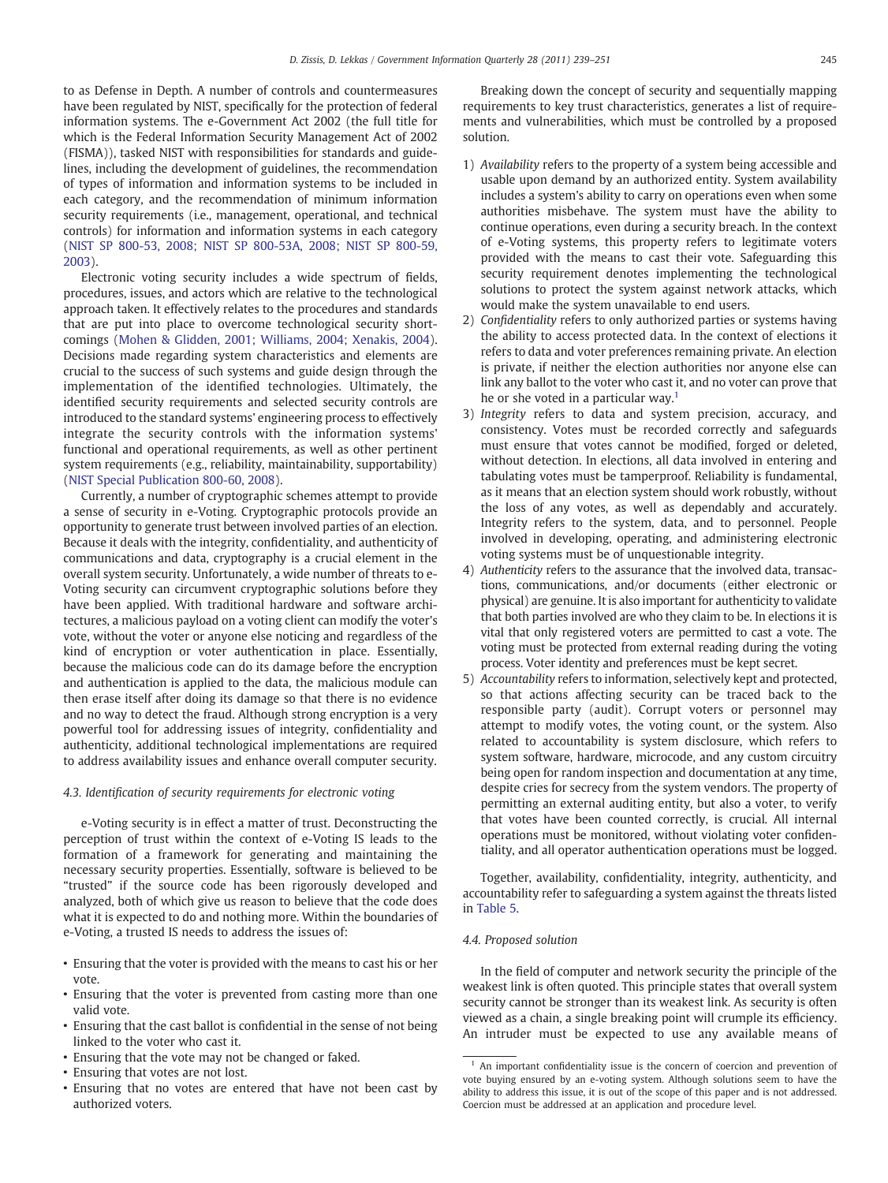to as Defense in Depth. A number of controls and countermeasures have been regulated by NIST, specifically for the protection of federal information systems. The e-Government Act 2002 (the full title for which is the Federal Information Security Management Act of 2002 (FISMA)), tasked NIST with responsibilities for standards and guidelines, including the development of guidelines, the recommendation of types of information and information systems to be included in each category, and the recommendation of minimum information security requirements (i.e., management, operational, and technical controls) for information and information systems in each category [\(NIST SP 800-53, 2008; NIST SP 800-53A, 2008; NIST SP 800-59,](#page-11-0) [2003\)](#page-11-0).

Electronic voting security includes a wide spectrum of fields, procedures, issues, and actors which are relative to the technological approach taken. It effectively relates to the procedures and standards that are put into place to overcome technological security shortcomings ([Mohen & Glidden, 2001; Williams, 2004; Xenakis, 2004](#page-11-0)). Decisions made regarding system characteristics and elements are crucial to the success of such systems and guide design through the implementation of the identified technologies. Ultimately, the identified security requirements and selected security controls are introduced to the standard systems' engineering process to effectively integrate the security controls with the information systems' functional and operational requirements, as well as other pertinent system requirements (e.g., reliability, maintainability, supportability) [\(NIST Special Publication 800-60, 2008](#page-11-0)).

Currently, a number of cryptographic schemes attempt to provide a sense of security in e-Voting. Cryptographic protocols provide an opportunity to generate trust between involved parties of an election. Because it deals with the integrity, confidentiality, and authenticity of communications and data, cryptography is a crucial element in the overall system security. Unfortunately, a wide number of threats to e-Voting security can circumvent cryptographic solutions before they have been applied. With traditional hardware and software architectures, a malicious payload on a voting client can modify the voter's vote, without the voter or anyone else noticing and regardless of the kind of encryption or voter authentication in place. Essentially, because the malicious code can do its damage before the encryption and authentication is applied to the data, the malicious module can then erase itself after doing its damage so that there is no evidence and no way to detect the fraud. Although strong encryption is a very powerful tool for addressing issues of integrity, confidentiality and authenticity, additional technological implementations are required to address availability issues and enhance overall computer security.

#### 4.3. Identification of security requirements for electronic voting

e-Voting security is in effect a matter of trust. Deconstructing the perception of trust within the context of e-Voting IS leads to the formation of a framework for generating and maintaining the necessary security properties. Essentially, software is believed to be "trusted" if the source code has been rigorously developed and analyzed, both of which give us reason to believe that the code does what it is expected to do and nothing more. Within the boundaries of e-Voting, a trusted IS needs to address the issues of:

- Ensuring that the voter is provided with the means to cast his or her vote.
- Ensuring that the voter is prevented from casting more than one valid vote.
- Ensuring that the cast ballot is confidential in the sense of not being linked to the voter who cast it.
- Ensuring that the vote may not be changed or faked.
- Ensuring that votes are not lost.
- Ensuring that no votes are entered that have not been cast by authorized voters.

Breaking down the concept of security and sequentially mapping requirements to key trust characteristics, generates a list of requirements and vulnerabilities, which must be controlled by a proposed solution.

- 1) Availability refers to the property of a system being accessible and usable upon demand by an authorized entity. System availability includes a system's ability to carry on operations even when some authorities misbehave. The system must have the ability to continue operations, even during a security breach. In the context of e-Voting systems, this property refers to legitimate voters provided with the means to cast their vote. Safeguarding this security requirement denotes implementing the technological solutions to protect the system against network attacks, which would make the system unavailable to end users.
- 2) Confidentiality refers to only authorized parties or systems having the ability to access protected data. In the context of elections it refers to data and voter preferences remaining private. An election is private, if neither the election authorities nor anyone else can link any ballot to the voter who cast it, and no voter can prove that he or she voted in a particular way.<sup>1</sup>
- 3) Integrity refers to data and system precision, accuracy, and consistency. Votes must be recorded correctly and safeguards must ensure that votes cannot be modified, forged or deleted, without detection. In elections, all data involved in entering and tabulating votes must be tamperproof. Reliability is fundamental, as it means that an election system should work robustly, without the loss of any votes, as well as dependably and accurately. Integrity refers to the system, data, and to personnel. People involved in developing, operating, and administering electronic voting systems must be of unquestionable integrity.
- 4) Authenticity refers to the assurance that the involved data, transactions, communications, and/or documents (either electronic or physical) are genuine. It is also important for authenticity to validate that both parties involved are who they claim to be. In elections it is vital that only registered voters are permitted to cast a vote. The voting must be protected from external reading during the voting process. Voter identity and preferences must be kept secret.
- 5) Accountability refers to information, selectively kept and protected, so that actions affecting security can be traced back to the responsible party (audit). Corrupt voters or personnel may attempt to modify votes, the voting count, or the system. Also related to accountability is system disclosure, which refers to system software, hardware, microcode, and any custom circuitry being open for random inspection and documentation at any time, despite cries for secrecy from the system vendors. The property of permitting an external auditing entity, but also a voter, to verify that votes have been counted correctly, is crucial. All internal operations must be monitored, without violating voter confidentiality, and all operator authentication operations must be logged.

Together, availability, confidentiality, integrity, authenticity, and accountability refer to safeguarding a system against the threats listed in [Table 5](#page-7-0).

# 4.4. Proposed solution

In the field of computer and network security the principle of the weakest link is often quoted. This principle states that overall system security cannot be stronger than its weakest link. As security is often viewed as a chain, a single breaking point will crumple its efficiency. An intruder must be expected to use any available means of

 $1$  An important confidentiality issue is the concern of coercion and prevention of vote buying ensured by an e-voting system. Although solutions seem to have the ability to address this issue, it is out of the scope of this paper and is not addressed. Coercion must be addressed at an application and procedure level.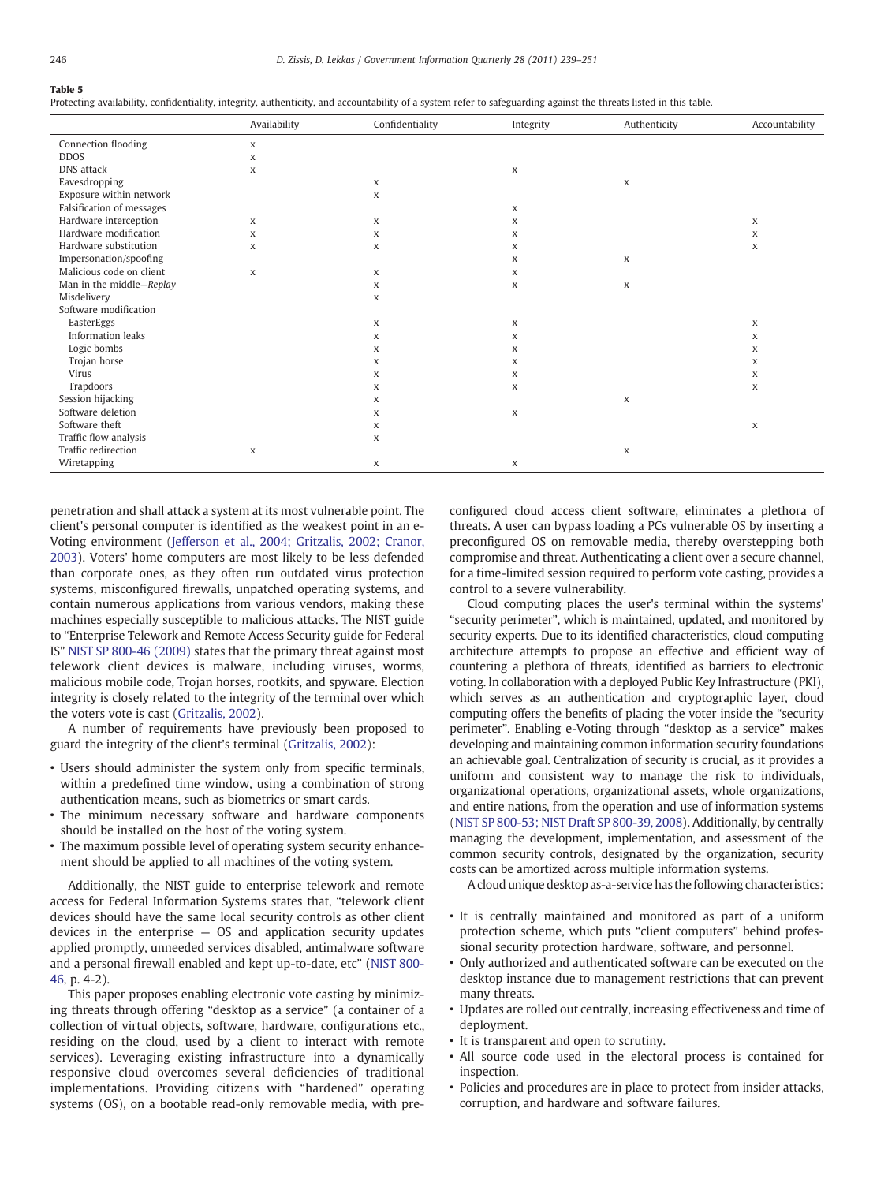#### <span id="page-7-0"></span>Table 5

Protecting availability, confidentiality, integrity, authenticity, and accountability of a system refer to safeguarding against the threats listed in this table.

|                           | Availability | Confidentiality | Integrity | Authenticity | Accountability |
|---------------------------|--------------|-----------------|-----------|--------------|----------------|
| Connection flooding       | X            |                 |           |              |                |
| <b>DDOS</b>               | X            |                 |           |              |                |
| DNS attack                | X            |                 | X         |              |                |
| Eavesdropping             |              | X               |           | X            |                |
| Exposure within network   |              | X               |           |              |                |
| Falsification of messages |              |                 | X         |              |                |
| Hardware interception     | X            | X               | X         |              | X              |
| Hardware modification     | X            | X               | X         |              | X              |
| Hardware substitution     | X            | X               | X         |              | X              |
| Impersonation/spoofing    |              |                 | X         | X            |                |
| Malicious code on client  | X            | X               | X         |              |                |
| Man in the middle-Replay  |              | X               | X         | X            |                |
| Misdelivery               |              | X               |           |              |                |
| Software modification     |              |                 |           |              |                |
| EasterEggs                |              | X               | X         |              | X              |
| <b>Information leaks</b>  |              | X               | X         |              | X              |
| Logic bombs               |              | X               | X         |              | X              |
| Trojan horse              |              | X               | X         |              | X              |
| Virus                     |              | X               | X         |              | X              |
| Trapdoors                 |              | X               | X         |              | X              |
| Session hijacking         |              | X               |           | X            |                |
| Software deletion         |              | X               | X         |              |                |
| Software theft            |              | X               |           |              | X              |
| Traffic flow analysis     |              | X               |           |              |                |
| Traffic redirection       | X            |                 |           | X            |                |
| Wiretapping               |              | X               | X         |              |                |

penetration and shall attack a system at its most vulnerable point. The client's personal computer is identified as the weakest point in an e-Voting environment [\(Jefferson et al., 2004; Gritzalis, 2002; Cranor,](#page-11-0) [2003\)](#page-11-0). Voters' home computers are most likely to be less defended than corporate ones, as they often run outdated virus protection systems, misconfigured firewalls, unpatched operating systems, and contain numerous applications from various vendors, making these machines especially susceptible to malicious attacks. The NIST guide to "Enterprise Telework and Remote Access Security guide for Federal IS" [NIST SP 800-46 \(2009\)](#page-11-0) states that the primary threat against most telework client devices is malware, including viruses, worms, malicious mobile code, Trojan horses, rootkits, and spyware. Election integrity is closely related to the integrity of the terminal over which the voters vote is cast [\(Gritzalis, 2002\)](#page-11-0).

A number of requirements have previously been proposed to guard the integrity of the client's terminal [\(Gritzalis, 2002\)](#page-11-0):

- Users should administer the system only from specific terminals, within a predefined time window, using a combination of strong authentication means, such as biometrics or smart cards.
- The minimum necessary software and hardware components should be installed on the host of the voting system.
- The maximum possible level of operating system security enhancement should be applied to all machines of the voting system.

Additionally, the NIST guide to enterprise telework and remote access for Federal Information Systems states that, "telework client devices should have the same local security controls as other client devices in the enterprise — OS and application security updates applied promptly, unneeded services disabled, antimalware software and a personal firewall enabled and kept up-to-date, etc" ([NIST 800-](#page-11-0) [46,](#page-11-0) p. 4-2).

This paper proposes enabling electronic vote casting by minimizing threats through offering "desktop as a service" (a container of a collection of virtual objects, software, hardware, configurations etc., residing on the cloud, used by a client to interact with remote services). Leveraging existing infrastructure into a dynamically responsive cloud overcomes several deficiencies of traditional implementations. Providing citizens with "hardened" operating systems (OS), on a bootable read-only removable media, with preconfigured cloud access client software, eliminates a plethora of threats. A user can bypass loading a PCs vulnerable OS by inserting a preconfigured OS on removable media, thereby overstepping both compromise and threat. Authenticating a client over a secure channel, for a time-limited session required to perform vote casting, provides a control to a severe vulnerability.

Cloud computing places the user's terminal within the systems' "security perimeter", which is maintained, updated, and monitored by security experts. Due to its identified characteristics, cloud computing architecture attempts to propose an effective and efficient way of countering a plethora of threats, identified as barriers to electronic voting. In collaboration with a deployed Public Key Infrastructure (PKI), which serves as an authentication and cryptographic layer, cloud computing offers the benefits of placing the voter inside the "security perimeter". Enabling e-Voting through "desktop as a service" makes developing and maintaining common information security foundations an achievable goal. Centralization of security is crucial, as it provides a uniform and consistent way to manage the risk to individuals, organizational operations, organizational assets, whole organizations, and entire nations, from the operation and use of information systems [\(NIST SP 800-53; NIST Draft SP 800-39, 2008\)](#page-11-0). Additionally, by centrally managing the development, implementation, and assessment of the common security controls, designated by the organization, security costs can be amortized across multiple information systems.

A cloud unique desktop as-a-service has the following characteristics:

- It is centrally maintained and monitored as part of a uniform protection scheme, which puts "client computers" behind professional security protection hardware, software, and personnel.
- Only authorized and authenticated software can be executed on the desktop instance due to management restrictions that can prevent many threats.
- Updates are rolled out centrally, increasing effectiveness and time of deployment.
- It is transparent and open to scrutiny.
- All source code used in the electoral process is contained for inspection.
- Policies and procedures are in place to protect from insider attacks, corruption, and hardware and software failures.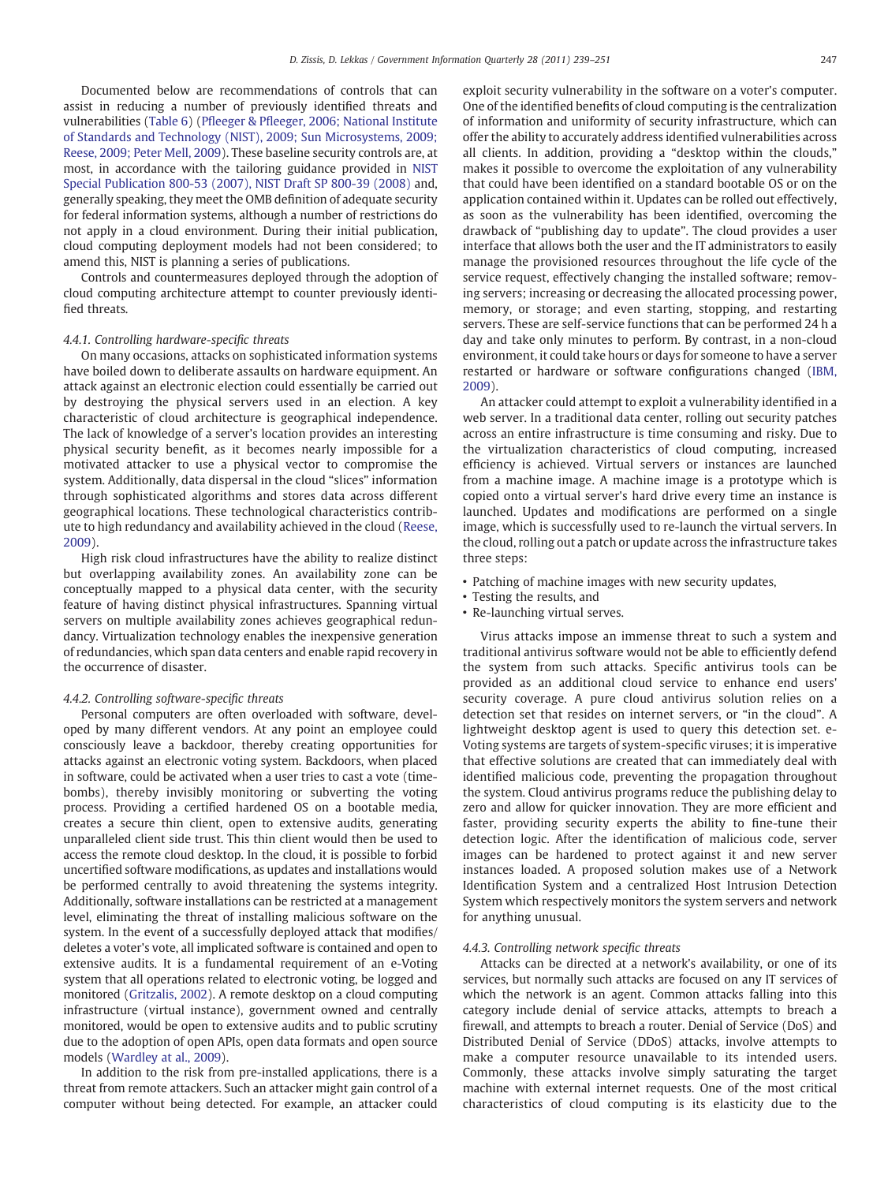Documented below are recommendations of controls that can assist in reducing a number of previously identified threats and vulnerabilities [\(Table 6](#page-9-0)) (Pfleeger & Pfl[eeger, 2006; National Institute](#page-11-0) [of Standards and Technology \(NIST\), 2009; Sun Microsystems, 2009;](#page-11-0) [Reese, 2009; Peter Mell, 2009](#page-11-0)). These baseline security controls are, at most, in accordance with the tailoring guidance provided in [NIST](#page-11-0) [Special Publication 800-53 \(2007\), NIST Draft SP 800-39 \(2008\)](#page-11-0) and, generally speaking, they meet the OMB definition of adequate security for federal information systems, although a number of restrictions do not apply in a cloud environment. During their initial publication, cloud computing deployment models had not been considered; to amend this, NIST is planning a series of publications.

Controls and countermeasures deployed through the adoption of cloud computing architecture attempt to counter previously identified threats.

#### 4.4.1. Controlling hardware-specific threats

On many occasions, attacks on sophisticated information systems have boiled down to deliberate assaults on hardware equipment. An attack against an electronic election could essentially be carried out by destroying the physical servers used in an election. A key characteristic of cloud architecture is geographical independence. The lack of knowledge of a server's location provides an interesting physical security benefit, as it becomes nearly impossible for a motivated attacker to use a physical vector to compromise the system. Additionally, data dispersal in the cloud "slices" information through sophisticated algorithms and stores data across different geographical locations. These technological characteristics contribute to high redundancy and availability achieved in the cloud ([Reese,](#page-11-0) [2009](#page-11-0)).

High risk cloud infrastructures have the ability to realize distinct but overlapping availability zones. An availability zone can be conceptually mapped to a physical data center, with the security feature of having distinct physical infrastructures. Spanning virtual servers on multiple availability zones achieves geographical redundancy. Virtualization technology enables the inexpensive generation of redundancies, which span data centers and enable rapid recovery in the occurrence of disaster.

#### 4.4.2. Controlling software-specific threats

Personal computers are often overloaded with software, developed by many different vendors. At any point an employee could consciously leave a backdoor, thereby creating opportunities for attacks against an electronic voting system. Backdoors, when placed in software, could be activated when a user tries to cast a vote (timebombs), thereby invisibly monitoring or subverting the voting process. Providing a certified hardened OS on a bootable media, creates a secure thin client, open to extensive audits, generating unparalleled client side trust. This thin client would then be used to access the remote cloud desktop. In the cloud, it is possible to forbid uncertified software modifications, as updates and installations would be performed centrally to avoid threatening the systems integrity. Additionally, software installations can be restricted at a management level, eliminating the threat of installing malicious software on the system. In the event of a successfully deployed attack that modifies/ deletes a voter's vote, all implicated software is contained and open to extensive audits. It is a fundamental requirement of an e-Voting system that all operations related to electronic voting, be logged and monitored ([Gritzalis, 2002](#page-11-0)). A remote desktop on a cloud computing infrastructure (virtual instance), government owned and centrally monitored, would be open to extensive audits and to public scrutiny due to the adoption of open APIs, open data formats and open source models ([Wardley at al., 2009](#page-12-0)).

In addition to the risk from pre-installed applications, there is a threat from remote attackers. Such an attacker might gain control of a computer without being detected. For example, an attacker could exploit security vulnerability in the software on a voter's computer. One of the identified benefits of cloud computing is the centralization of information and uniformity of security infrastructure, which can offer the ability to accurately address identified vulnerabilities across all clients. In addition, providing a "desktop within the clouds," makes it possible to overcome the exploitation of any vulnerability that could have been identified on a standard bootable OS or on the application contained within it. Updates can be rolled out effectively, as soon as the vulnerability has been identified, overcoming the drawback of "publishing day to update". The cloud provides a user interface that allows both the user and the IT administrators to easily manage the provisioned resources throughout the life cycle of the service request, effectively changing the installed software; removing servers; increasing or decreasing the allocated processing power, memory, or storage; and even starting, stopping, and restarting servers. These are self-service functions that can be performed 24 h a day and take only minutes to perform. By contrast, in a non-cloud environment, it could take hours or days for someone to have a server restarted or hardware or software configurations changed ([IBM,](#page-11-0) [2009](#page-11-0)).

An attacker could attempt to exploit a vulnerability identified in a web server. In a traditional data center, rolling out security patches across an entire infrastructure is time consuming and risky. Due to the virtualization characteristics of cloud computing, increased efficiency is achieved. Virtual servers or instances are launched from a machine image. A machine image is a prototype which is copied onto a virtual server's hard drive every time an instance is launched. Updates and modifications are performed on a single image, which is successfully used to re-launch the virtual servers. In the cloud, rolling out a patch or update across the infrastructure takes three steps:

- Patching of machine images with new security updates,
- Testing the results, and
- Re-launching virtual serves.

Virus attacks impose an immense threat to such a system and traditional antivirus software would not be able to efficiently defend the system from such attacks. Specific antivirus tools can be provided as an additional cloud service to enhance end users' security coverage. A pure cloud antivirus solution relies on a detection set that resides on internet servers, or "in the cloud". A lightweight desktop agent is used to query this detection set. e-Voting systems are targets of system-specific viruses; it is imperative that effective solutions are created that can immediately deal with identified malicious code, preventing the propagation throughout the system. Cloud antivirus programs reduce the publishing delay to zero and allow for quicker innovation. They are more efficient and faster, providing security experts the ability to fine-tune their detection logic. After the identification of malicious code, server images can be hardened to protect against it and new server instances loaded. A proposed solution makes use of a Network Identification System and a centralized Host Intrusion Detection System which respectively monitors the system servers and network for anything unusual.

#### 4.4.3. Controlling network specific threats

Attacks can be directed at a network's availability, or one of its services, but normally such attacks are focused on any IT services of which the network is an agent. Common attacks falling into this category include denial of service attacks, attempts to breach a firewall, and attempts to breach a router. Denial of Service (DoS) and Distributed Denial of Service (DDoS) attacks, involve attempts to make a computer resource unavailable to its intended users. Commonly, these attacks involve simply saturating the target machine with external internet requests. One of the most critical characteristics of cloud computing is its elasticity due to the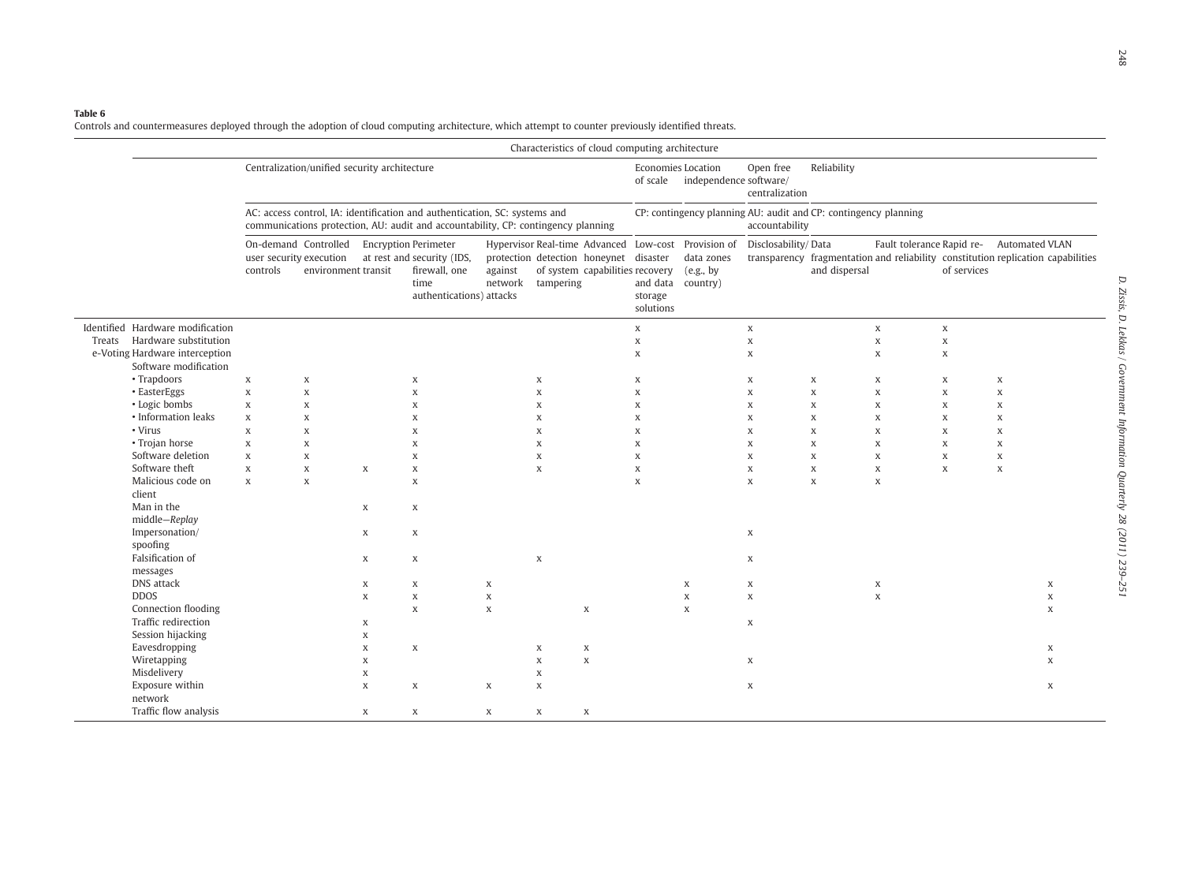#### <span id="page-9-0"></span>Table 6

Controls and countermeasures deployed through the adoption of cloud computing architecture, which attempt to counter previously identified threats.

|                                                                                                                           |                                                                                                                                                                 |                                                          |                                 |                                                                                                                |                                 | Characteristics of cloud computing architecture                                                                                               |                                                                                             |                      |                                                             |                                                                                                                    |                                                                              |                                                                              |                                                          |                                                                                                                                      |  |
|---------------------------------------------------------------------------------------------------------------------------|-----------------------------------------------------------------------------------------------------------------------------------------------------------------|----------------------------------------------------------|---------------------------------|----------------------------------------------------------------------------------------------------------------|---------------------------------|-----------------------------------------------------------------------------------------------------------------------------------------------|---------------------------------------------------------------------------------------------|----------------------|-------------------------------------------------------------|--------------------------------------------------------------------------------------------------------------------|------------------------------------------------------------------------------|------------------------------------------------------------------------------|----------------------------------------------------------|--------------------------------------------------------------------------------------------------------------------------------------|--|
|                                                                                                                           | Centralization/unified security architecture                                                                                                                    |                                                          |                                 |                                                                                                                |                                 |                                                                                                                                               | Open free<br><b>Economies Location</b><br>of scale independence software/<br>centralization |                      |                                                             | Reliability                                                                                                        |                                                                              |                                                                              |                                                          |                                                                                                                                      |  |
|                                                                                                                           | AC: access control, IA: identification and authentication, SC: systems and<br>communications protection, AU: audit and accountability, CP: contingency planning |                                                          |                                 |                                                                                                                |                                 |                                                                                                                                               | CP: contingency planning AU: audit and CP: contingency planning<br>accountability           |                      |                                                             |                                                                                                                    |                                                                              |                                                                              |                                                          |                                                                                                                                      |  |
|                                                                                                                           | On-demand Controlled<br>user security execution<br>controls                                                                                                     | environment transit                                      |                                 | <b>Encryption Perimeter</b><br>at rest and security (IDS,<br>firewall, one<br>time<br>authentications) attacks | against<br>network              | Hypervisor Real-time Advanced Low-cost Provision of<br>protection detection honeynet disaster<br>of system capabilities recovery<br>tampering |                                                                                             | storage<br>solutions | data zones<br>(e.g., by<br>and data country)                | Disclosability/Data                                                                                                | and dispersal                                                                |                                                                              | of services                                              | Fault tolerance Rapid re- Automated VLAN<br>transparency fragmentation and reliability constitution replication capabilities         |  |
| Identified Hardware modification<br>Treats Hardware substitution<br>e-Voting Hardware interception                        |                                                                                                                                                                 |                                                          |                                 |                                                                                                                |                                 |                                                                                                                                               | $\mathbf X$<br>$\mathbf x$<br>$\mathbf x$                                                   |                      |                                                             | $\boldsymbol{\mathsf{X}}$<br>$\mathbf X$<br>$\mathbf X$                                                            |                                                                              | $\mathbf x$<br>$\mathbf X$<br>$\mathbf X$                                    | $\mathbf X$<br>$\mathbf x$<br>$\mathbf x$                |                                                                                                                                      |  |
| Software modification<br>• Trapdoors<br>• EasterEggs<br>• Logic bombs<br>• Information leaks<br>• Virus<br>• Trojan horse | $\,$ X<br>$\boldsymbol{\mathsf{X}}$<br>$\mathbf x$<br>$\mathbf x$<br>$\mathbf x$<br>$\mathbf x$                                                                 | $\mathbf X$<br>$\mathbf x$<br>X<br>X<br>$\mathbf x$<br>X |                                 | X<br>$\mathbf x$<br>X<br>X<br>$\mathbf x$<br>X                                                                 |                                 | X<br>$\mathbf x$<br>$\mathbf x$<br>X<br>$\mathbf x$<br>X                                                                                      | X<br>$\mathbf x$<br>X<br>$\mathbf x$<br>$\mathbf x$<br>X                                    |                      |                                                             | $\mathbf X$<br>$\mathbf X$<br>$\boldsymbol{\mathsf{X}}$<br>$\mathbf x$<br>$\mathbf x$<br>$\boldsymbol{\mathsf{X}}$ | X<br>$\mathbf X$<br>$\mathbf X$<br>$\mathbf X$<br>$\mathbf X$<br>$\mathbf X$ | X<br>$\mathbf x$<br>$\mathbf X$<br>$\mathbf X$<br>$\mathbf X$<br>$\mathbf X$ | $\mathbf x$<br>$\mathbf x$<br>X<br>X<br>$\mathbf x$<br>X | $\,$ X<br>$\,$ X<br>$\boldsymbol{\mathsf{X}}$<br>$\boldsymbol{\mathsf{X}}$<br>$\boldsymbol{\mathsf{X}}$<br>$\boldsymbol{\mathrm{X}}$ |  |
| Software deletion<br>Software theft<br>Malicious code on<br>client<br>Man in the                                          | $\mathbf x$<br>X<br>$\mathbf X$                                                                                                                                 | X<br>X<br>$\mathbf{x}$                                   | X<br>X                          | X<br>X<br>$\boldsymbol{\mathrm{X}}$<br>X                                                                       |                                 | X<br>X                                                                                                                                        | X<br>X<br>$\mathbf x$                                                                       |                      |                                                             | $\mathbf X$<br>$\mathbf X$<br>$\mathbf{x}$                                                                         | $\mathbf X$<br>$\mathbf X$<br>X                                              | X<br>X<br>X                                                                  | X<br>X                                                   | X<br>X                                                                                                                               |  |
| middle-Replay<br>Impersonation/<br>spoofing<br>Falsification of                                                           |                                                                                                                                                                 |                                                          | X<br>X                          | X<br>X                                                                                                         |                                 | X                                                                                                                                             |                                                                                             |                      |                                                             | $\mathbf X$<br>$\boldsymbol{\mathsf{X}}$                                                                           |                                                                              |                                                                              |                                                          |                                                                                                                                      |  |
| messages<br>DNS attack<br><b>DDOS</b><br>Connection flooding<br>Traffic redirection                                       |                                                                                                                                                                 |                                                          | X<br>$\mathbf x$<br>X           | X<br>$\mathbf X$<br>$\boldsymbol{\mathsf{X}}$                                                                  | X<br>$\mathbf X$<br>$\mathbf X$ | $\mathbf x$                                                                                                                                   |                                                                                             |                      | $\boldsymbol{\mathsf{X}}$<br>$\boldsymbol{\mathsf{X}}$<br>X | $\mathbf X$<br>$\mathbf{x}$<br>X                                                                                   |                                                                              | X<br>$\mathbf{x}$                                                            |                                                          | X<br>X<br>X                                                                                                                          |  |
| Session hijacking<br>Eavesdropping<br>Wiretapping<br>Misdelivery<br>Exposure within                                       |                                                                                                                                                                 |                                                          | X<br>X<br>$\mathbf x$<br>X<br>X | $\mathbf x$<br>X                                                                                               | X                               | X<br>X<br>$\mathbf x$<br>$\mathbf x$<br>X<br>X                                                                                                |                                                                                             |                      |                                                             | $\boldsymbol{\mathsf{X}}$<br>X                                                                                     |                                                                              |                                                                              |                                                          | $\mathbf X$<br>X<br>X                                                                                                                |  |
| network<br>Traffic flow analysis                                                                                          |                                                                                                                                                                 |                                                          | X                               | X                                                                                                              | X                               | X<br>$\mathbf X$                                                                                                                              |                                                                                             |                      |                                                             |                                                                                                                    |                                                                              |                                                                              |                                                          |                                                                                                                                      |  |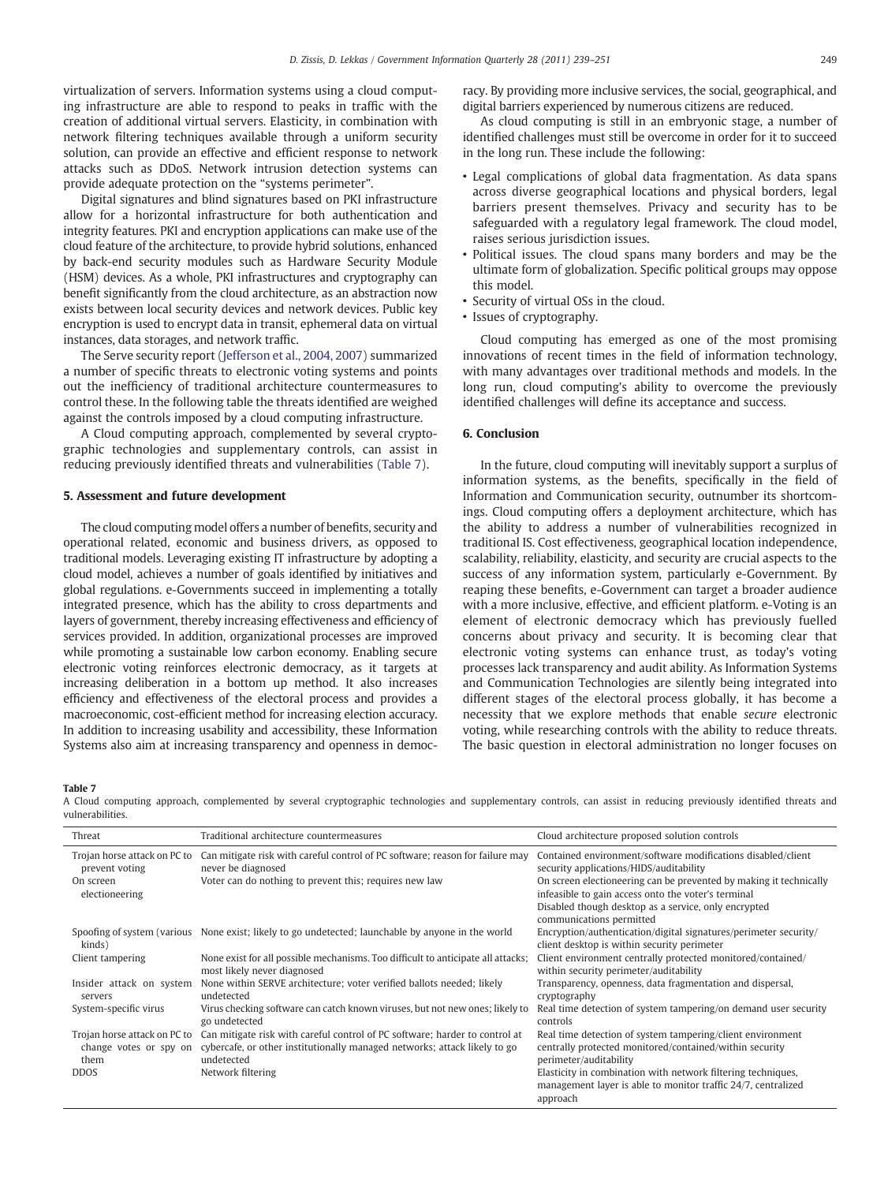virtualization of servers. Information systems using a cloud computing infrastructure are able to respond to peaks in traffic with the creation of additional virtual servers. Elasticity, in combination with network filtering techniques available through a uniform security solution, can provide an effective and efficient response to network attacks such as DDoS. Network intrusion detection systems can provide adequate protection on the "systems perimeter".

Digital signatures and blind signatures based on PKI infrastructure allow for a horizontal infrastructure for both authentication and integrity features. PKI and encryption applications can make use of the cloud feature of the architecture, to provide hybrid solutions, enhanced by back-end security modules such as Hardware Security Module (HSM) devices. As a whole, PKI infrastructures and cryptography can benefit significantly from the cloud architecture, as an abstraction now exists between local security devices and network devices. Public key encryption is used to encrypt data in transit, ephemeral data on virtual instances, data storages, and network traffic.

The Serve security report [\(Jefferson et al., 2004, 2007](#page-11-0)) summarized a number of specific threats to electronic voting systems and points out the inefficiency of traditional architecture countermeasures to control these. In the following table the threats identified are weighed against the controls imposed by a cloud computing infrastructure.

A Cloud computing approach, complemented by several cryptographic technologies and supplementary controls, can assist in reducing previously identified threats and vulnerabilities (Table 7).

### 5. Assessment and future development

The cloud computing model offers a number of benefits, security and operational related, economic and business drivers, as opposed to traditional models. Leveraging existing IT infrastructure by adopting a cloud model, achieves a number of goals identified by initiatives and global regulations. e-Governments succeed in implementing a totally integrated presence, which has the ability to cross departments and layers of government, thereby increasing effectiveness and efficiency of services provided. In addition, organizational processes are improved while promoting a sustainable low carbon economy. Enabling secure electronic voting reinforces electronic democracy, as it targets at increasing deliberation in a bottom up method. It also increases efficiency and effectiveness of the electoral process and provides a macroeconomic, cost-efficient method for increasing election accuracy. In addition to increasing usability and accessibility, these Information Systems also aim at increasing transparency and openness in democracy. By providing more inclusive services, the social, geographical, and digital barriers experienced by numerous citizens are reduced.

As cloud computing is still in an embryonic stage, a number of identified challenges must still be overcome in order for it to succeed in the long run. These include the following:

- Legal complications of global data fragmentation. As data spans across diverse geographical locations and physical borders, legal barriers present themselves. Privacy and security has to be safeguarded with a regulatory legal framework. The cloud model, raises serious jurisdiction issues.
- Political issues. The cloud spans many borders and may be the ultimate form of globalization. Specific political groups may oppose this model.
- Security of virtual OSs in the cloud.
- Issues of cryptography.

Cloud computing has emerged as one of the most promising innovations of recent times in the field of information technology, with many advantages over traditional methods and models. In the long run, cloud computing's ability to overcome the previously identified challenges will define its acceptance and success.

#### 6. Conclusion

In the future, cloud computing will inevitably support a surplus of information systems, as the benefits, specifically in the field of Information and Communication security, outnumber its shortcomings. Cloud computing offers a deployment architecture, which has the ability to address a number of vulnerabilities recognized in traditional IS. Cost effectiveness, geographical location independence, scalability, reliability, elasticity, and security are crucial aspects to the success of any information system, particularly e-Government. By reaping these benefits, e-Government can target a broader audience with a more inclusive, effective, and efficient platform. e-Voting is an element of electronic democracy which has previously fuelled concerns about privacy and security. It is becoming clear that electronic voting systems can enhance trust, as today's voting processes lack transparency and audit ability. As Information Systems and Communication Technologies are silently being integrated into different stages of the electoral process globally, it has become a necessity that we explore methods that enable secure electronic voting, while researching controls with the ability to reduce threats. The basic question in electoral administration no longer focuses on

Table 7

A Cloud computing approach, complemented by several cryptographic technologies and supplementary controls, can assist in reducing previously identified threats and vulnerabilities.

| Threat                                                         | Traditional architecture countermeasures                                                                                                                               | Cloud architecture proposed solution controls                                                                                                   |
|----------------------------------------------------------------|------------------------------------------------------------------------------------------------------------------------------------------------------------------------|-------------------------------------------------------------------------------------------------------------------------------------------------|
| Trojan horse attack on PC to<br>prevent voting                 | Can mitigate risk with careful control of PC software; reason for failure may<br>never be diagnosed                                                                    | Contained environment/software modifications disabled/client<br>security applications/HIDS/auditability                                         |
| On screen<br>electioneering                                    | Voter can do nothing to prevent this; requires new law                                                                                                                 | On screen electioneering can be prevented by making it technically<br>infeasible to gain access onto the voter's terminal                       |
|                                                                |                                                                                                                                                                        | Disabled though desktop as a service, only encrypted<br>communications permitted                                                                |
| kinds)                                                         | Spoofing of system (various None exist; likely to go undetected; launchable by anyone in the world                                                                     | Encryption/authentication/digital signatures/perimeter security/<br>client desktop is within security perimeter                                 |
| Client tampering                                               | None exist for all possible mechanisms. Too difficult to anticipate all attacks;<br>most likely never diagnosed                                                        | Client environment centrally protected monitored/contained/<br>within security perimeter/auditability                                           |
| Insider attack on system<br>servers                            | None within SERVE architecture; voter verified ballots needed; likely<br>undetected                                                                                    | Transparency, openness, data fragmentation and dispersal,<br>cryptography                                                                       |
| System-specific virus                                          | Virus checking software can catch known viruses, but not new ones; likely to<br>go undetected                                                                          | Real time detection of system tampering/on demand user security<br>controls                                                                     |
| Trojan horse attack on PC to<br>change votes or spy on<br>them | Can mitigate risk with careful control of PC software; harder to control at<br>cybercafe, or other institutionally managed networks; attack likely to go<br>undetected | Real time detection of system tampering/client environment<br>centrally protected monitored/contained/within security<br>perimeter/auditability |
| <b>DDOS</b>                                                    | Network filtering                                                                                                                                                      | Elasticity in combination with network filtering techniques,<br>management layer is able to monitor traffic 24/7, centralized<br>annroach       |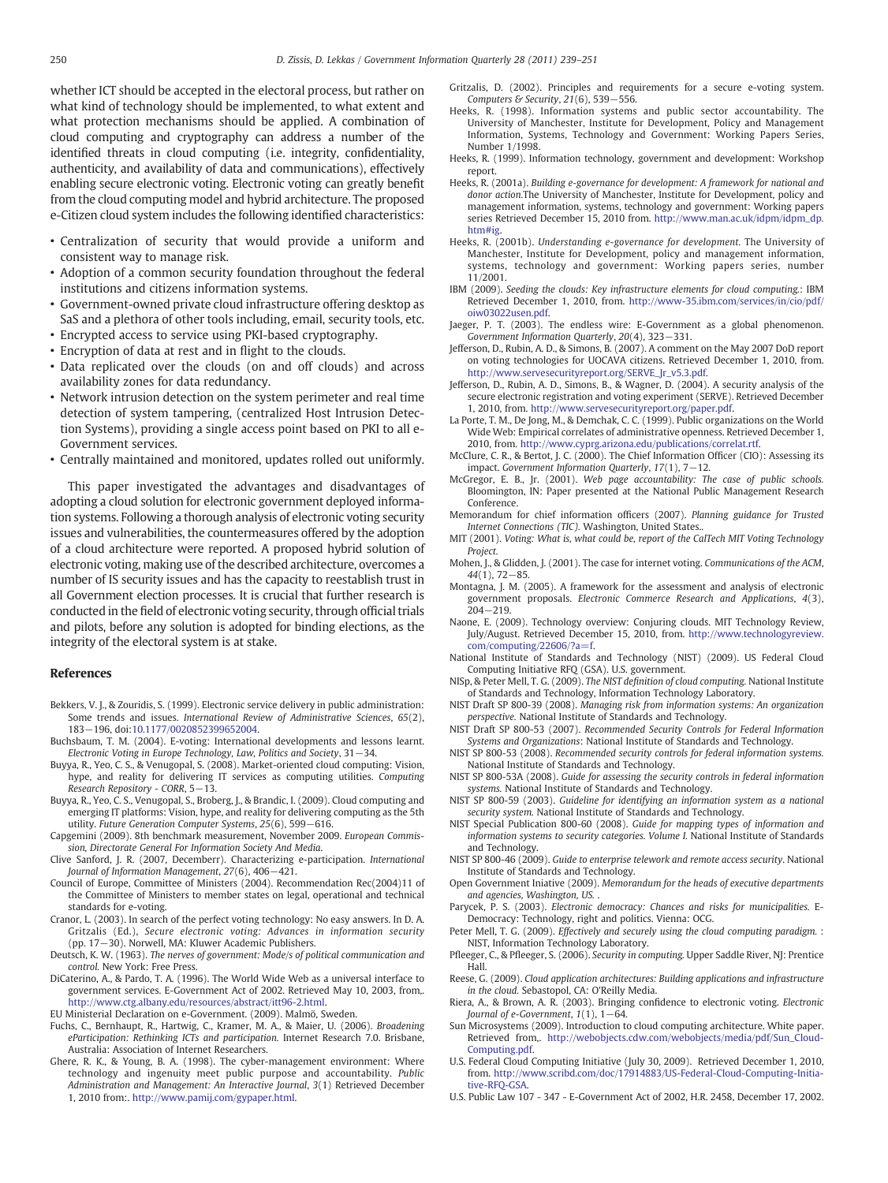<span id="page-11-0"></span>whether ICT should be accepted in the electoral process, but rather on what kind of technology should be implemented, to what extent and what protection mechanisms should be applied. A combination of cloud computing and cryptography can address a number of the identified threats in cloud computing (i.e. integrity, confidentiality, authenticity, and availability of data and communications), effectively enabling secure electronic voting. Electronic voting can greatly benefit from the cloud computing model and hybrid architecture. The proposed e-Citizen cloud system includes the following identified characteristics:

- Centralization of security that would provide a uniform and consistent way to manage risk.
- Adoption of a common security foundation throughout the federal institutions and citizens information systems.
- Government-owned private cloud infrastructure offering desktop as SaS and a plethora of other tools including, email, security tools, etc.
- Encrypted access to service using PKI-based cryptography.
- Encryption of data at rest and in flight to the clouds.
- Data replicated over the clouds (on and off clouds) and across availability zones for data redundancy.
- Network intrusion detection on the system perimeter and real time detection of system tampering, (centralized Host Intrusion Detection Systems), providing a single access point based on PKI to all e-Government services.
- Centrally maintained and monitored, updates rolled out uniformly.

This paper investigated the advantages and disadvantages of adopting a cloud solution for electronic government deployed information systems. Following a thorough analysis of electronic voting security issues and vulnerabilities, the countermeasures offered by the adoption of a cloud architecture were reported. A proposed hybrid solution of electronic voting, making use of the described architecture, overcomes a number of IS security issues and has the capacity to reestablish trust in all Government election processes. It is crucial that further research is conducted in the field of electronic voting security, through official trials and pilots, before any solution is adopted for binding elections, as the integrity of the electoral system is at stake.

### References

- Bekkers, V. J., & Zouridis, S. (1999). Electronic service delivery in public administration: Some trends and issues. International Review of Administrative Sciences, 65(2), 183−196, doi:[10.1177/0020852399652004.](http://dx.doi.org/10.1177/0020852399652004)
- Buchsbaum, T. M. (2004). E-voting: International developments and lessons learnt. Electronic Voting in Europe Technology, Law, Politics and Society, 31−34.
- Buyya, R., Yeo, C. S., & Venugopal, S. (2008). Market-oriented cloud computing: Vision, hype, and reality for delivering IT services as computing utilities. Computing Research Repository - CORR, 5−13.
- Buyya, R., Yeo, C. S., Venugopal, S., Broberg, J., & Brandic, I. (2009). Cloud computing and emerging IT platforms: Vision, hype, and reality for delivering computing as the 5th utility. Future Generation Computer Systems, 25(6), 599−616.
- Capgemini (2009). 8th benchmark measurement, November 2009. European Commission, Directorate General For Information Society And Media.
- Clive Sanford, J. R. (2007, Decemberr). Characterizing e-participation. International Journal of Information Management, 27(6), 406−421.
- Council of Europe, Committee of Ministers (2004). Recommendation Rec(2004)11 of the Committee of Ministers to member states on legal, operational and technical standards for e-voting.
- Cranor, L. (2003). In search of the perfect voting technology: No easy answers. In D. A. Gritzalis (Ed.), Secure electronic voting: Advances in information security (pp. 17−30). Norwell, MA: Kluwer Academic Publishers.
- Deutsch, K. W. (1963). The nerves of government: Mode/s of political communication and control. New York: Free Press.
- DiCaterino, A., & Pardo, T. A. (1996). The World Wide Web as a universal interface to government services. E-Government Act of 2002. Retrieved May 10, 2003, from,. [http://www.ctg.albany.edu/resources/abstract/itt96-2.html.](http://www.ctg.albany.edu/resources/abstract/itt96-2.html)

EU Ministerial Declaration on e-Government. (2009). Malmö, Sweden.

- Fuchs, C., Bernhaupt, R., Hartwig, C., Kramer, M. A., & Maier, U. (2006). Broadening eParticipation: Rethinking ICTs and participation. Internet Research 7.0. Brisbane, Australia: Association of Internet Researchers.
- Ghere, R. K., & Young, B. A. (1998). The cyber-management environment: Where technology and ingenuity meet public purpose and accountability. Public Administration and Management: An Interactive Journal, 3(1) Retrieved December 1, 2010 from:. [http://www.pamij.com/gypaper.html.](http://www.pamij.com/gypaper.html)
- Gritzalis, D. (2002). Principles and requirements for a secure e-voting system.  $\frac{1}{2}$ Computers & Security, 21(6), 539–556.
- Heeks, R. (1998). Information systems and public sector accountability. The University of Manchester, Institute for Development, Policy and Management Information, Systems, Technology and Government: Working Papers Series, Number 1/1998.
- Heeks, R. (1999). Information technology, government and development: Workshop report.
- Heeks, R. (2001a). Building e-governance for development: A framework for national and donor action.The University of Manchester, Institute for Development, policy and management information, systems, technology and government: Working papers series Retrieved December 15, 2010 from. [http://www.man.ac.uk/idpm/idpm\\_dp.](http://www.man.ac.uk/idpm/idpm_dp.htm#ig) [htm#ig](http://www.man.ac.uk/idpm/idpm_dp.htm#ig).
- Heeks, R. (2001b). Understanding e-governance for development. The University of Manchester, Institute for Development, policy and management information, systems, technology and government: Working papers series, number 11/2001.
- IBM (2009). Seeding the clouds: Key infrastructure elements for cloud computing.: IBM Retrieved December 1, 2010, from. [http://www-35.ibm.com/services/in/cio/pdf/](http://www-35.ibm.com/services/in/cio/pdf/oiw03022usen.pdf) [oiw03022usen.pdf.](http://www-35.ibm.com/services/in/cio/pdf/oiw03022usen.pdf)
- Jaeger, P. T. (2003). The endless wire: E-Government as a global phenomenon. Government Information Quarterly, 20(4), 323−331.
- Jefferson, D., Rubin, A. D., & Simons, B. (2007). A comment on the May 2007 DoD report on voting technologies for UOCAVA citizens. Retrieved December 1, 2010, from. [http://www.servesecurityreport.org/SERVE\\_Jr\\_v5.3.pdf.](http://www.servesecurityreport.org/SERVE_Jr_v5.3.pdf)
- Jefferson, D., Rubin, A. D., Simons, B., & Wagner, D. (2004). A security analysis of the secure electronic registration and voting experiment (SERVE). Retrieved December 1, 2010, from. <http://www.servesecurityreport.org/paper.pdf>.
- La Porte, T. M., De Jong, M., & Demchak, C. C. (1999). Public organizations on the World Wide Web: Empirical correlates of administrative openness. Retrieved December 1, 2010, from. [http://www.cyprg.arizona.edu/publications/correlat.rtf.](http://www.cyprg.arizona.edu/publications/correlat.rtf)
- McClure, C. R., & Bertot, J. C. (2000). The Chief Information Officer (CIO): Assessing its impact. Government Information Quarterly, 17(1), 7−12.
- McGregor, E. B., Jr. (2001). Web page accountability: The case of public schools. Bloomington, IN: Paper presented at the National Public Management Research Conference.
- Memorandum for chief information officers (2007). Planning guidance for Trusted Internet Connections (TIC). Washington, United States..
- MIT (2001). Voting: What is, what could be, report of the CalTech MIT Voting Technology Project.
- Mohen, J., & Glidden, J. (2001). The case for internet voting. Communications of the ACM, 44(1), 72−85.
- Montagna, J. M. (2005). A framework for the assessment and analysis of electronic government proposals. Electronic Commerce Research and Applications, 4(3), 204−219.
- Naone, E. (2009). Technology overview: Conjuring clouds. MIT Technology Review, July/August. Retrieved December 15, 2010, from. [http://www.technologyreview.](http://www.technologyreview.com/computing/22606/?a=f) [com/computing/22606/?a=f.](http://www.technologyreview.com/computing/22606/?a=f)
- National Institute of Standards and Technology (NIST) (2009). US Federal Cloud Computing Initiative RFQ (GSA). U.S. government.
- NISp, & Peter Mell, T. G. (2009). The NIST definition of cloud computing. National Institute of Standards and Technology, Information Technology Laboratory.
- NIST Draft SP 800-39 (2008). Managing risk from information systems: An organization perspective. National Institute of Standards and Technology.
- NIST Draft SP 800-53 (2007). Recommended Security Controls for Federal Information Systems and Organizations: National Institute of Standards and Technology.
- NIST SP 800-53 (2008). Recommended security controls for federal information systems. National Institute of Standards and Technology.
- NIST SP 800-53A (2008). Guide for assessing the security controls in federal information systems. National Institute of Standards and Technology.
- NIST SP 800-59 (2003). Guideline for identifying an information system as a national security system. National Institute of Standards and Technology.
- NIST Special Publication 800-60 (2008). Guide for mapping types of information and information systems to security categories. Volume I. National Institute of Standards and Technology.
- NIST SP 800-46 (2009). Guide to enterprise telework and remote access security. National Institute of Standards and Technology.
- Open Government Iniative (2009). Memorandum for the heads of executive departments and agencies, Washington, US. .
- Parycek, P. S. (2003). Electronic democracy: Chances and risks for municipalities. E-Democracy: Technology, right and politics. Vienna: OCG.
- Peter Mell, T. G. (2009). Effectively and securely using the cloud computing paradigm. : NIST, Information Technology Laboratory.
- Pfleeger, C., & Pfleeger, S. (2006). Security in computing. Upper Saddle River, NJ: Prentice Hall.
- Reese, G. (2009). Cloud application architectures: Building applications and infrastructure in the cloud. Sebastopol, CA: O'Reilly Media.
- Riera, A., & Brown, A. R. (2003). Bringing confidence to electronic voting. Electronic Journal of e-Government, 1(1), 1−64.
- Sun Microsystems (2009). Introduction to cloud computing architecture. White paper. Retrieved from,. [http://webobjects.cdw.com/webobjects/media/pdf/Sun\\_Cloud-](http://webobjects.cdw.com/webobjects/media/pdf/Sun_CloudComputing.pdf)[Computing.pdf](http://webobjects.cdw.com/webobjects/media/pdf/Sun_CloudComputing.pdf).
- U.S. Federal Cloud Computing Initiative (July 30, 2009). Retrieved December 1, 2010, from. [http://www.scribd.com/doc/17914883/US-Federal-Cloud-Computing-Initia](http://www.scribd.com/doc/17914883/US-Federal-Cloud-Computing-Initiative-RFQ-GSA)[tive-RFQ-GSA](http://www.scribd.com/doc/17914883/US-Federal-Cloud-Computing-Initiative-RFQ-GSA).
- U.S. Public Law 107 347 E-Government Act of 2002, H.R. 2458, December 17, 2002.